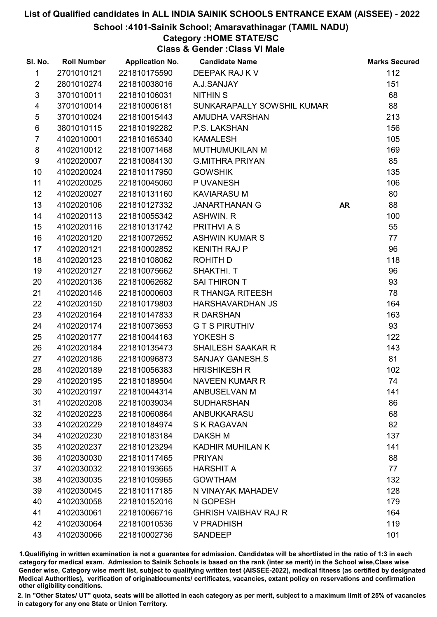#### School :4101-Sainik School; Amaravathinagar (TAMIL NADU)

# Category :HOME STATE/SC

Class & Gender :Class VI Male

| SI. No.         | <b>Roll Number</b> | <b>Application No.</b> | <b>Candidate Name</b>       |           | <b>Marks Secured</b> |
|-----------------|--------------------|------------------------|-----------------------------|-----------|----------------------|
| $\mathbf{1}$    | 2701010121         | 221810175590           | DEEPAK RAJ K V              |           | 112                  |
| $\overline{2}$  | 2801010274         | 221810038016           | A.J.SANJAY                  |           | 151                  |
| $\mathfrak{S}$  | 3701010011         | 221810106031           | <b>NITHIN S</b>             |           | 68                   |
| 4               | 3701010014         | 221810006181           | SUNKARAPALLY SOWSHIL KUMAR  |           | 88                   |
| $\sqrt{5}$      | 3701010024         | 221810015443           | AMUDHA VARSHAN              |           | 213                  |
| 6               | 3801010115         | 221810192282           | P.S. LAKSHAN                |           | 156                  |
| $\overline{7}$  | 4102010001         | 221810165340           | <b>KAMALESH</b>             |           | 105                  |
| 8               | 4102010012         | 221810071468           | <b>MUTHUMUKILAN M</b>       |           | 169                  |
| 9               | 4102020007         | 221810084130           | <b>G.MITHRA PRIYAN</b>      |           | 85                   |
| 10              | 4102020024         | 221810117950           | <b>GOWSHIK</b>              |           | 135                  |
| 11              | 4102020025         | 221810045060           | P UVANESH                   |           | 106                  |
| 12 <sup>2</sup> | 4102020027         | 221810131160           | <b>KAVIARASU M</b>          |           | 80                   |
| 13              | 4102020106         | 221810127332           | <b>JANARTHANAN G</b>        | <b>AR</b> | 88                   |
| 14              | 4102020113         | 221810055342           | <b>ASHWIN. R</b>            |           | 100                  |
| 15              | 4102020116         | 221810131742           | PRITHVI A S                 |           | 55                   |
| 16              | 4102020120         | 221810072652           | <b>ASHWIN KUMAR S</b>       |           | 77                   |
| 17              | 4102020121         | 221810002852           | <b>KENITH RAJ P</b>         |           | 96                   |
| 18              | 4102020123         | 221810108062           | ROHITH D                    |           | 118                  |
| 19              | 4102020127         | 221810075662           | SHAKTHI. T                  |           | 96                   |
| 20              | 4102020136         | 221810062682           | SAI THIRON T                |           | 93                   |
| 21              | 4102020146         | 221810000603           | R THANGA RITEESH            |           | 78                   |
| 22              | 4102020150         | 221810179803           | HARSHAVARDHAN JS            |           | 164                  |
| 23              | 4102020164         | 221810147833           | R DARSHAN                   |           | 163                  |
| 24              | 4102020174         | 221810073653           | <b>GTSPIRUTHIV</b>          |           | 93                   |
| 25              | 4102020177         | 221810044163           | YOKESH S                    |           | 122                  |
| 26              | 4102020184         | 221810135473           | <b>SHAILESH SAAKAR R</b>    |           | 143                  |
| 27              | 4102020186         | 221810096873           | <b>SANJAY GANESH.S</b>      |           | 81                   |
| 28              | 4102020189         | 221810056383           | <b>HRISHIKESH R</b>         |           | 102                  |
| 29              | 4102020195         | 221810189504           | <b>NAVEEN KUMAR R</b>       |           | 74                   |
| 30              | 4102020197         | 221810044314           | ANBUSELVAN M                |           | 141                  |
| 31              | 4102020208         | 221810039034           | <b>SUDHARSHAN</b>           |           | 86                   |
| 32              | 4102020223         | 221810060864           | ANBUKKARASU                 |           | 68                   |
| 33              | 4102020229         | 221810184974           | S K RAGAVAN                 |           | 82                   |
| 34              | 4102020230         | 221810183184           | <b>DAKSH M</b>              |           | 137                  |
| 35              | 4102020237         | 221810123294           | KADHIR MUHILAN K            |           | 141                  |
| 36              | 4102030030         | 221810117465           | <b>PRIYAN</b>               |           | 88                   |
| 37              | 4102030032         | 221810193665           | <b>HARSHIT A</b>            |           | 77                   |
| 38              | 4102030035         | 221810105965           | <b>GOWTHAM</b>              |           | 132                  |
| 39              | 4102030045         | 221810117185           | N VINAYAK MAHADEV           |           | 128                  |
| 40              | 4102030058         | 221810152016           | N GOPESH                    |           | 179                  |
| 41              | 4102030061         | 221810066716           | <b>GHRISH VAIBHAV RAJ R</b> |           | 164                  |
| 42              | 4102030064         | 221810010536           | <b>V PRADHISH</b>           |           | 119                  |
| 43              | 4102030066         | 221810002736           | <b>SANDEEP</b>              |           | 101                  |

1.Qualifiying in written examination is not a guarantee for admission. Candidates will be shortlisted in the ratio of 1:3 in each category for medical exam. Admission to Sainik Schools is based on the rank (inter se merit) in the School wise,Class wise Gender wise, Category wise merit list, subject to qualifying written test (AISSEE-2022), medical fitness (as certified by designated Medical Authorities), verification of originablocuments/ certificates, vacancies, extant policy on reservations and confirmation other eligibility conditions.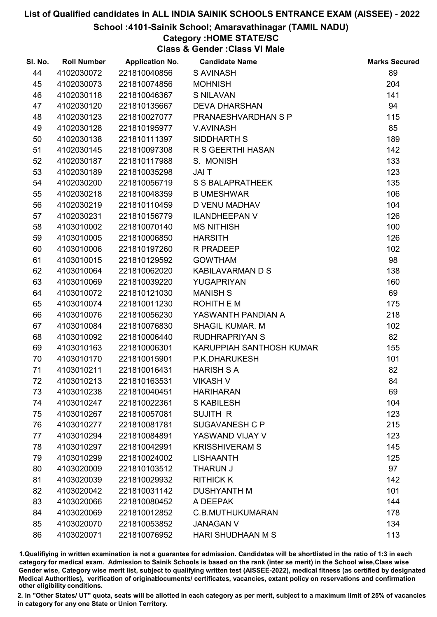School :4101-Sainik School; Amaravathinagar (TAMIL NADU)

# Category :HOME STATE/SC

Class & Gender :Class VI Male

| SI. No. | <b>Roll Number</b> | <b>Application No.</b> | <b>Candidate Name</b>    | <b>Marks Secured</b> |
|---------|--------------------|------------------------|--------------------------|----------------------|
| 44      | 4102030072         | 221810040856           | <b>S AVINASH</b>         | 89                   |
| 45      | 4102030073         | 221810074856           | <b>MOHNISH</b>           | 204                  |
| 46      | 4102030118         | 221810046367           | <b>S NILAVAN</b>         | 141                  |
| 47      | 4102030120         | 221810135667           | <b>DEVA DHARSHAN</b>     | 94                   |
| 48      | 4102030123         | 221810027077           | PRANAESHVARDHAN S P      | 115                  |
| 49      | 4102030128         | 221810195977           | V.AVINASH                | 85                   |
| 50      | 4102030138         | 221810111397           | SIDDHARTH S              | 189                  |
| 51      | 4102030145         | 221810097308           | R S GEERTHI HASAN        | 142                  |
| 52      | 4102030187         | 221810117988           | S. MONISH                | 133                  |
| 53      | 4102030189         | 221810035298           | JAI T                    | 123                  |
| 54      | 4102030200         | 221810056719           | <b>S S BALAPRATHEEK</b>  | 135                  |
| 55      | 4102030218         | 221810048359           | <b>B UMESHWAR</b>        | 106                  |
| 56      | 4102030219         | 221810110459           | D VENU MADHAV            | 104                  |
| 57      | 4102030231         | 221810156779           | <b>ILANDHEEPAN V</b>     | 126                  |
| 58      | 4103010002         | 221810070140           | <b>MS NITHISH</b>        | 100                  |
| 59      | 4103010005         | 221810006850           | <b>HARSITH</b>           | 126                  |
| 60      | 4103010006         | 221810197260           | R PRADEEP                | 102                  |
| 61      | 4103010015         | 221810129592           | <b>GOWTHAM</b>           | 98                   |
| 62      | 4103010064         | 221810062020           | <b>KABILAVARMAN D S</b>  | 138                  |
| 63      | 4103010069         | 221810039220           | YUGAPRIYAN               | 160                  |
| 64      | 4103010072         | 221810121030           | <b>MANISH S</b>          | 69                   |
| 65      | 4103010074         | 221810011230           | ROHITH E M               | 175                  |
| 66      | 4103010076         | 221810056230           | YASWANTH PANDIAN A       | 218                  |
| 67      | 4103010084         | 221810076830           | <b>SHAGIL KUMAR. M</b>   | 102                  |
| 68      | 4103010092         | 221810006440           | <b>RUDHRAPRIYAN S</b>    | 82                   |
| 69      | 4103010163         | 221810006301           | KARUPPIAH SANTHOSH KUMAR | 155                  |
| 70      | 4103010170         | 221810015901           | P.K.DHARUKESH            | 101                  |
| 71      | 4103010211         | 221810016431           | <b>HARISH S A</b>        | 82                   |
| 72      | 4103010213         | 221810163531           | <b>VIKASH V</b>          | 84                   |
| 73      | 4103010238         | 221810040451           | <b>HARIHARAN</b>         | 69                   |
| 74      | 4103010247         | 221810022361           | <b>S KABILESH</b>        | 104                  |
| 75      | 4103010267         | 221810057081           | <b>SUJITH R</b>          | 123                  |
| 76      | 4103010277         | 221810081781           | <b>SUGAVANESH C P</b>    | 215                  |
| 77      | 4103010294         | 221810084891           | YASWAND VIJAY V          | 123                  |
| 78      | 4103010297         | 221810042991           | <b>KRISSHIVERAM S</b>    | 145                  |
| 79      | 4103010299         | 221810024002           | <b>LISHAANTH</b>         | 125                  |
| 80      | 4103020009         | 221810103512           | <b>THARUN J</b>          | 97                   |
| 81      | 4103020039         | 221810029932           | <b>RITHICK K</b>         | 142                  |
| 82      | 4103020042         | 221810031142           | <b>DUSHYANTH M</b>       | 101                  |
| 83      | 4103020066         | 221810080452           | A DEEPAK                 | 144                  |
| 84      | 4103020069         | 221810012852           | C.B.MUTHUKUMARAN         | 178                  |
| 85      | 4103020070         | 221810053852           | <b>JANAGAN V</b>         | 134                  |
| 86      | 4103020071         | 221810076952           | HARI SHUDHAAN M S        | 113                  |

1.Qualifiying in written examination is not a guarantee for admission. Candidates will be shortlisted in the ratio of 1:3 in each category for medical exam. Admission to Sainik Schools is based on the rank (inter se merit) in the School wise,Class wise Gender wise, Category wise merit list, subject to qualifying written test (AISSEE-2022), medical fitness (as certified by designated Medical Authorities), verification of originablocuments/ certificates, vacancies, extant policy on reservations and confirmation other eligibility conditions.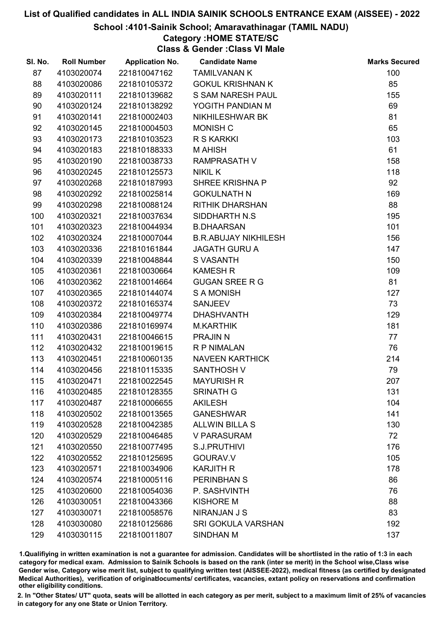#### School :4101-Sainik School; Amaravathinagar (TAMIL NADU)

## Category :HOME STATE/SC

Class & Gender :Class VI Male

| SI. No. | <b>Roll Number</b> | <b>Application No.</b> | <b>Candidate Name</b>       | <b>Marks Secured</b> |
|---------|--------------------|------------------------|-----------------------------|----------------------|
| 87      | 4103020074         | 221810047162           | <b>TAMILVANAN K</b>         | 100                  |
| 88      | 4103020086         | 221810105372           | <b>GOKUL KRISHNAN K</b>     | 85                   |
| 89      | 4103020111         | 221810139682           | S SAM NARESH PAUL           | 155                  |
| 90      | 4103020124         | 221810138292           | YOGITH PANDIAN M            | 69                   |
| 91      | 4103020141         | 221810002403           | NIKHILESHWAR BK             | 81                   |
| 92      | 4103020145         | 221810004503           | MONISH C                    | 65                   |
| 93      | 4103020173         | 221810103523           | R S KARKKI                  | 103                  |
| 94      | 4103020183         | 221810188333           | <b>MAHISH</b>               | 61                   |
| 95      | 4103020190         | 221810038733           | <b>RAMPRASATH V</b>         | 158                  |
| 96      | 4103020245         | 221810125573           | <b>NIKIL K</b>              | 118                  |
| 97      | 4103020268         | 221810187993           | <b>SHREE KRISHNA P</b>      | 92                   |
| 98      | 4103020292         | 221810025814           | <b>GOKULNATH N</b>          | 169                  |
| 99      | 4103020298         | 221810088124           | <b>RITHIK DHARSHAN</b>      | 88                   |
| 100     | 4103020321         | 221810037634           | SIDDHARTH N.S.              | 195                  |
| 101     | 4103020323         | 221810044934           | <b>B.DHAARSAN</b>           | 101                  |
| 102     | 4103020324         | 221810007044           | <b>B.R.ABUJAY NIKHILESH</b> | 156                  |
| 103     | 4103020336         | 221810161844           | <b>JAGATH GURU A</b>        | 147                  |
| 104     | 4103020339         | 221810048844           | S VASANTH                   | 150                  |
| 105     | 4103020361         | 221810030664           | <b>KAMESH R</b>             | 109                  |
| 106     | 4103020362         | 221810014664           | <b>GUGAN SREE R G</b>       | 81                   |
| 107     | 4103020365         | 221810144074           | <b>SAMONISH</b>             | 127                  |
| 108     | 4103020372         | 221810165374           | <b>SANJEEV</b>              | 73                   |
| 109     | 4103020384         | 221810049774           | <b>DHASHVANTH</b>           | 129                  |
| 110     | 4103020386         | 221810169974           | <b>M.KARTHIK</b>            | 181                  |
| 111     | 4103020431         | 221810046615           | <b>PRAJIN N</b>             | 77                   |
| 112     | 4103020432         | 221810019615           | <b>R P NIMALAN</b>          | 76                   |
| 113     | 4103020451         | 221810060135           | <b>NAVEEN KARTHICK</b>      | 214                  |
| 114     | 4103020456         | 221810115335           | <b>SANTHOSH V</b>           | 79                   |
| 115     | 4103020471         | 221810022545           | <b>MAYURISH R</b>           | 207                  |
| 116     | 4103020485         | 221810128355           | <b>SRINATH G</b>            | 131                  |
| 117     | 4103020487         | 221810006655           | <b>AKILESH</b>              | 104                  |
| 118     | 4103020502         | 221810013565           | <b>GANESHWAR</b>            | 141                  |
| 119     | 4103020528         | 221810042385           | <b>ALLWIN BILLA S</b>       | 130                  |
| 120     | 4103020529         | 221810046485           | <b>V PARASURAM</b>          | 72                   |
| 121     | 4103020550         | 221810077495           | S.J.PRUTHIVI                | 176                  |
| 122     | 4103020552         | 221810125695           | GOURAV.V                    | 105                  |
| 123     | 4103020571         | 221810034906           | <b>KARJITH R</b>            | 178                  |
| 124     | 4103020574         | 221810005116           | <b>PERINBHAN S</b>          | 86                   |
| 125     | 4103020600         | 221810054036           | P. SASHVINTH                | 76                   |
| 126     | 4103030051         | 221810043366           | <b>KISHORE M</b>            | 88                   |
| 127     | 4103030071         | 221810058576           | <b>NIRANJAN J S</b>         | 83                   |
| 128     | 4103030080         | 221810125686           | <b>SRI GOKULA VARSHAN</b>   | 192                  |
| 129     | 4103030115         | 221810011807           | SINDHAN M                   | 137                  |

1.Qualifiying in written examination is not a guarantee for admission. Candidates will be shortlisted in the ratio of 1:3 in each category for medical exam. Admission to Sainik Schools is based on the rank (inter se merit) in the School wise,Class wise Gender wise, Category wise merit list, subject to qualifying written test (AISSEE-2022), medical fitness (as certified by designated Medical Authorities), verification of originablocuments/ certificates, vacancies, extant policy on reservations and confirmation other eligibility conditions.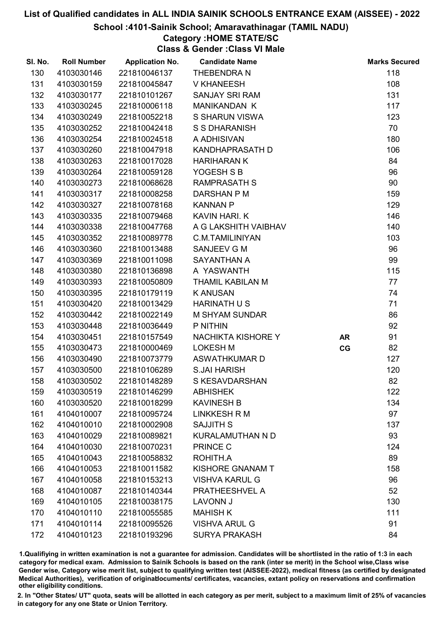#### School :4101-Sainik School; Amaravathinagar (TAMIL NADU)

## Category :HOME STATE/SC

Class & Gender :Class VI Male

| SI. No. | <b>Roll Number</b> | <b>Application No.</b> | <b>Candidate Name</b>   |           | <b>Marks Secured</b> |
|---------|--------------------|------------------------|-------------------------|-----------|----------------------|
| 130     | 4103030146         | 221810046137           | THEBENDRA N             |           | 118                  |
| 131     | 4103030159         | 221810045847           | <b>V KHANEESH</b>       |           | 108                  |
| 132     | 4103030177         | 221810101267           | <b>SANJAY SRI RAM</b>   |           | 131                  |
| 133     | 4103030245         | 221810006118           | <b>MANIKANDAN K</b>     |           | 117                  |
| 134     | 4103030249         | 221810052218           | <b>S SHARUN VISWA</b>   |           | 123                  |
| 135     | 4103030252         | 221810042418           | <b>S S DHARANISH</b>    |           | 70                   |
| 136     | 4103030254         | 221810024518           | A ADHISIVAN             |           | 180                  |
| 137     | 4103030260         | 221810047918           | KANDHAPRASATH D         |           | 106                  |
| 138     | 4103030263         | 221810017028           | <b>HARIHARAN K</b>      |           | 84                   |
| 139     | 4103030264         | 221810059128           | YOGESH S B              |           | 96                   |
| 140     | 4103030273         | 221810068628           | <b>RAMPRASATH S</b>     |           | 90                   |
| 141     | 4103030317         | 221810008258           | DARSHAN P M             |           | 159                  |
| 142     | 4103030327         | 221810078168           | <b>KANNAN P</b>         |           | 129                  |
| 143     | 4103030335         | 221810079468           | KAVIN HARI. K           |           | 146                  |
| 144     | 4103030338         | 221810047768           | A G LAKSHITH VAIBHAV    |           | 140                  |
| 145     | 4103030352         | 221810089778           | <b>C.M.TAMILINIYAN</b>  |           | 103                  |
| 146     | 4103030360         | 221810013488           | SANJEEV G M             |           | 96                   |
| 147     | 4103030369         | 221810011098           | SAYANTHAN A             |           | 99                   |
| 148     | 4103030380         | 221810136898           | A YASWANTH              |           | 115                  |
| 149     | 4103030393         | 221810050809           | THAMIL KABILAN M        |           | 77                   |
| 150     | 4103030395         | 221810179119           | <b>KANUSAN</b>          |           | 74                   |
| 151     | 4103030420         | 221810013429           | <b>HARINATH U S</b>     |           | 71                   |
| 152     | 4103030442         | 221810022149           | <b>M SHYAM SUNDAR</b>   |           | 86                   |
| 153     | 4103030448         | 221810036449           | P NITHIN                |           | 92                   |
| 154     | 4103030451         | 221810157549           | NACHIKTA KISHORE Y      | <b>AR</b> | 91                   |
| 155     | 4103030473         | 221810000469           | <b>LOKESH M</b>         | CG        | 82                   |
| 156     | 4103030490         | 221810073779           | <b>ASWATHKUMARD</b>     |           | 127                  |
| 157     | 4103030500         | 221810106289           | <b>S.JAI HARISH</b>     |           | 120                  |
| 158     | 4103030502         | 221810148289           | S KESAVDARSHAN          |           | 82                   |
| 159     | 4103030519         | 221810146299           | <b>ABHISHEK</b>         |           | 122                  |
| 160     | 4103030520         | 221810018299           | <b>KAVINESH B</b>       |           | 134                  |
| 161     | 4104010007         | 221810095724           | <b>LINKKESH R M</b>     |           | 97                   |
| 162     | 4104010010         | 221810002908           | <b>SAJJITH S</b>        |           | 137                  |
| 163     | 4104010029         | 221810089821           | KURALAMUTHAN N D        |           | 93                   |
| 164     | 4104010030         | 221810070231           | PRINCE C                |           | 124                  |
| 165     | 4104010043         | 221810058832           | ROHITH.A                |           | 89                   |
| 166     | 4104010053         | 221810011582           | <b>KISHORE GNANAM T</b> |           | 158                  |
| 167     | 4104010058         | 221810153213           | <b>VISHVA KARUL G</b>   |           | 96                   |
| 168     | 4104010087         | 221810140344           | PRATHEESHVEL A          |           | 52                   |
| 169     | 4104010105         | 221810038175           | <b>LAVONN J</b>         |           | 130                  |
| 170     | 4104010110         | 221810055585           | <b>MAHISH K</b>         |           | 111                  |
| 171     | 4104010114         | 221810095526           | <b>VISHVA ARUL G</b>    |           | 91                   |
| 172     | 4104010123         | 221810193296           | <b>SURYA PRAKASH</b>    |           | 84                   |

1.Qualifiying in written examination is not a guarantee for admission. Candidates will be shortlisted in the ratio of 1:3 in each category for medical exam. Admission to Sainik Schools is based on the rank (inter se merit) in the School wise,Class wise Gender wise, Category wise merit list, subject to qualifying written test (AISSEE-2022), medical fitness (as certified by designated Medical Authorities), verification of originablocuments/ certificates, vacancies, extant policy on reservations and confirmation other eligibility conditions.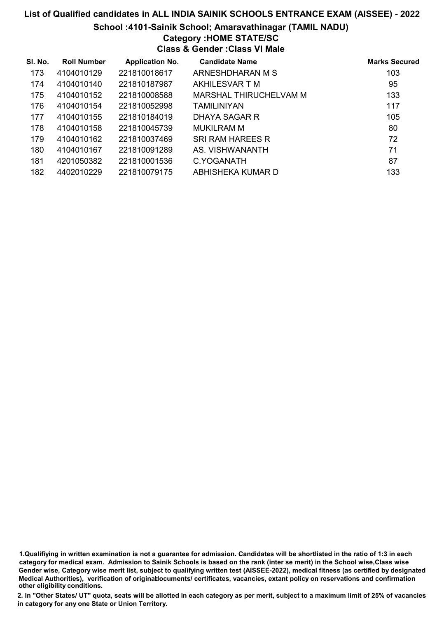#### School :4101-Sainik School; Amaravathinagar (TAMIL NADU)

# Category :HOME STATE/SC

Class & Gender :Class VI Male

| SI. No. | <b>Roll Number</b> | <b>Application No.</b> | <b>Candidate Name</b>   | <b>Marks Secured</b> |
|---------|--------------------|------------------------|-------------------------|----------------------|
| 173     | 4104010129         | 221810018617           | ARNESHDHARAN M S        | 103                  |
| 174     | 4104010140         | 221810187987           | AKHILESVAR T M          | 95                   |
| 175     | 4104010152         | 221810008588           | MARSHAL THIRUCHELVAM M  | 133                  |
| 176     | 4104010154         | 221810052998           | <b>TAMILINIYAN</b>      | 117                  |
| 177     | 4104010155         | 221810184019           | DHAYA SAGAR R           | 105                  |
| 178     | 4104010158         | 221810045739           | <b>MUKILRAM M</b>       | 80                   |
| 179     | 4104010162         | 221810037469           | <b>SRI RAM HAREES R</b> | 72                   |
| 180     | 4104010167         | 221810091289           | AS. VISHWANANTH         | 71                   |
| 181     | 4201050382         | 221810001536           | C.YOGANATH              | 87                   |
| 182     | 4402010229         | 221810079175           | ABHISHEKA KUMAR D       | 133                  |

1.Qualifiying in written examination is not a guarantee for admission. Candidates will be shortlisted in the ratio of 1:3 in each category for medical exam. Admission to Sainik Schools is based on the rank (inter se merit) in the School wise,Class wise Gender wise, Category wise merit list, subject to qualifying written test (AISSEE-2022), medical fitness (as certified by designated Medical Authorities), verification of originablocuments/ certificates, vacancies, extant policy on reservations and confirmation other eligibility conditions.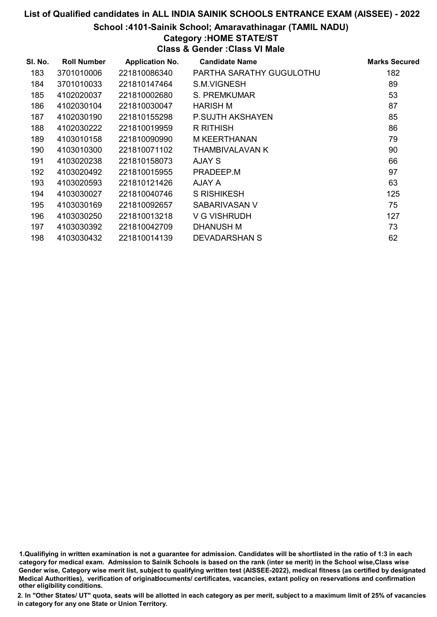#### School :4101-Sainik School; Amaravathinagar (TAMIL NADU)

## Category :HOME STATE/ST

Class & Gender :Class VI Male

| SI. No. | <b>Roll Number</b> | <b>Application No.</b> | <b>Candidate Name</b>    | <b>Marks Secured</b> |
|---------|--------------------|------------------------|--------------------------|----------------------|
| 183     | 3701010006         | 221810086340           | PARTHA SARATHY GUGULOTHU | 182                  |
| 184     | 3701010033         | 221810147464           | S.M.VIGNESH              | 89                   |
| 185     | 4102020037         | 221810002680           | S. PREMKUMAR             | 53                   |
| 186     | 4102030104         | 221810030047           | <b>HARISH M</b>          | 87                   |
| 187     | 4102030190         | 221810155298           | P.SUJTH AKSHAYEN         | 85                   |
| 188     | 4102030222         | 221810019959           | <b>R RITHISH</b>         | 86                   |
| 189     | 4103010158         | 221810090990           | M KEERTHANAN             | 79                   |
| 190     | 4103010300         | 221810071102           | <b>THAMBIVALAVAN K</b>   | 90                   |
| 191     | 4103020238         | 221810158073           | AJAY S                   | 66                   |
| 192     | 4103020492         | 221810015955           | PRADEEP.M                | 97                   |
| 193     | 4103020593         | 221810121426           | AJAY A                   | 63                   |
| 194     | 4103030027         | 221810040746           | <b>S RISHIKESH</b>       | 125                  |
| 195     | 4103030169         | 221810092657           | SABARIVASAN V            | 75                   |
| 196     | 4103030250         | 221810013218           | V G VISHRUDH             | 127                  |
| 197     | 4103030392         | 221810042709           | DHANUSH M                | 73                   |
| 198     | 4103030432         | 221810014139           | <b>DEVADARSHAN S</b>     | 62                   |

1.Qualifiying in written examination is not a guarantee for admission. Candidates will be shortlisted in the ratio of 1:3 in each category for medical exam. Admission to Sainik Schools is based on the rank (inter se merit) in the School wise,Class wise Gender wise, Category wise merit list, subject to qualifying written test (AISSEE-2022), medical fitness (as certified by designated Medical Authorities), verification of originablocuments/ certificates, vacancies, extant policy on reservations and confirmation other eligibility conditions.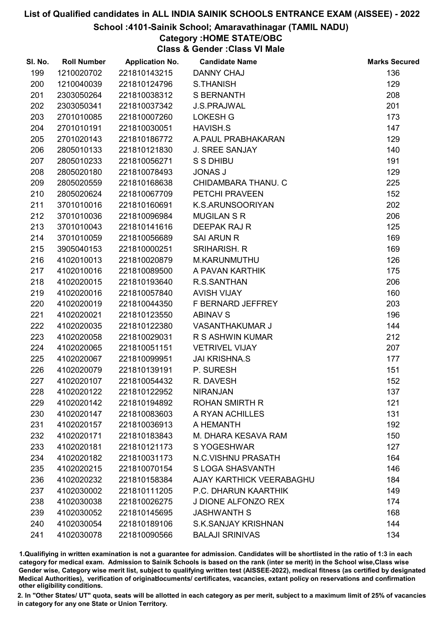#### School :4101-Sainik School; Amaravathinagar (TAMIL NADU)

# Category :HOME STATE/OBC

Class & Gender :Class VI Male

| SI. No. | <b>Roll Number</b> | <b>Application No.</b> | <b>Candidate Name</b>      | <b>Marks Secured</b> |
|---------|--------------------|------------------------|----------------------------|----------------------|
| 199     | 1210020702         | 221810143215           | <b>DANNY CHAJ</b>          | 136                  |
| 200     | 1210040039         | 221810124796           | <b>S.THANISH</b>           | 129                  |
| 201     | 2303050264         | 221810038312           | <b>S BERNANTH</b>          | 208                  |
| 202     | 2303050341         | 221810037342           | <b>J.S.PRAJWAL</b>         | 201                  |
| 203     | 2701010085         | 221810007260           | <b>LOKESH G</b>            | 173                  |
| 204     | 2701010191         | 221810030051           | <b>HAVISH.S</b>            | 147                  |
| 205     | 2701020143         | 221810186772           | A.PAUL PRABHAKARAN         | 129                  |
| 206     | 2805010133         | 221810121830           | <b>J. SREE SANJAY</b>      | 140                  |
| 207     | 2805010233         | 221810056271           | S S DHIBU                  | 191                  |
| 208     | 2805020180         | 221810078493           | <b>JONAS J</b>             | 129                  |
| 209     | 2805020559         | 221810168638           | CHIDAMBARA THANU. C        | 225                  |
| 210     | 2805020624         | 221810067709           | PETCHI PRAVEEN             | 152                  |
| 211     | 3701010016         | 221810160691           | K.S.ARUNSOORIYAN           | 202                  |
| 212     | 3701010036         | 221810096984           | <b>MUGILAN S R</b>         | 206                  |
| 213     | 3701010043         | 221810141616           | <b>DEEPAK RAJ R</b>        | 125                  |
| 214     | 3701010059         | 221810056689           | <b>SAI ARUN R</b>          | 169                  |
| 215     | 3905040153         | 221810000251           | <b>SRIHARISH. R</b>        | 169                  |
| 216     | 4102010013         | 221810020879           | M.KARUNMUTHU               | 126                  |
| 217     | 4102010016         | 221810089500           | A PAVAN KARTHIK            | 175                  |
| 218     | 4102020015         | 221810193640           | R.S.SANTHAN                | 206                  |
| 219     | 4102020016         | 221810057840           | <b>AVISH VIJAY</b>         | 160                  |
| 220     | 4102020019         | 221810044350           | F BERNARD JEFFREY          | 203                  |
| 221     | 4102020021         | 221810123550           | <b>ABINAV S</b>            | 196                  |
| 222     | 4102020035         | 221810122380           | <b>VASANTHAKUMAR J</b>     | 144                  |
| 223     | 4102020058         | 221810029031           | R S ASHWIN KUMAR           | 212                  |
| 224     | 4102020065         | 221810051151           | <b>VETRIVEL VIJAY</b>      | 207                  |
| 225     | 4102020067         | 221810099951           | <b>JAI KRISHNA.S</b>       | 177                  |
| 226     | 4102020079         | 221810139191           | P. SURESH                  | 151                  |
| 227     | 4102020107         | 221810054432           | R. DAVESH                  | 152                  |
| 228     | 4102020122         | 221810122952           | <b>NIRANJAN</b>            | 137                  |
| 229     | 4102020142         | 221810194892           | <b>ROHAN SMIRTH R</b>      | 121                  |
| 230     | 4102020147         | 221810083603           | A RYAN ACHILLES            | 131                  |
| 231     | 4102020157         | 221810036913           | A HEMANTH                  | 192                  |
| 232     | 4102020171         | 221810183843           | M. DHARA KESAVA RAM        | 150                  |
| 233     | 4102020181         | 221810121173           | S YOGESHWAR                | 127                  |
| 234     | 4102020182         | 221810031173           | <b>N.C.VISHNU PRASATH</b>  | 164                  |
| 235     | 4102020215         | 221810070154           | S LOGA SHASVANTH           | 146                  |
| 236     | 4102020232         | 221810158384           | AJAY KARTHICK VEERABAGHU   | 184                  |
| 237     | 4102030002         | 221810111205           | P.C. DHARUN KAARTHIK       | 149                  |
| 238     | 4102030038         | 221810026275           | <b>J DIONE ALFONZO REX</b> | 174                  |
| 239     | 4102030052         | 221810145695           | <b>JASHWANTH S</b>         | 168                  |
| 240     | 4102030054         | 221810189106           | <b>S.K.SANJAY KRISHNAN</b> | 144                  |
| 241     | 4102030078         | 221810090566           | <b>BALAJI SRINIVAS</b>     | 134                  |

1.Qualifiying in written examination is not a guarantee for admission. Candidates will be shortlisted in the ratio of 1:3 in each category for medical exam. Admission to Sainik Schools is based on the rank (inter se merit) in the School wise,Class wise Gender wise, Category wise merit list, subject to qualifying written test (AISSEE-2022), medical fitness (as certified by designated Medical Authorities), verification of originablocuments/ certificates, vacancies, extant policy on reservations and confirmation other eligibility conditions.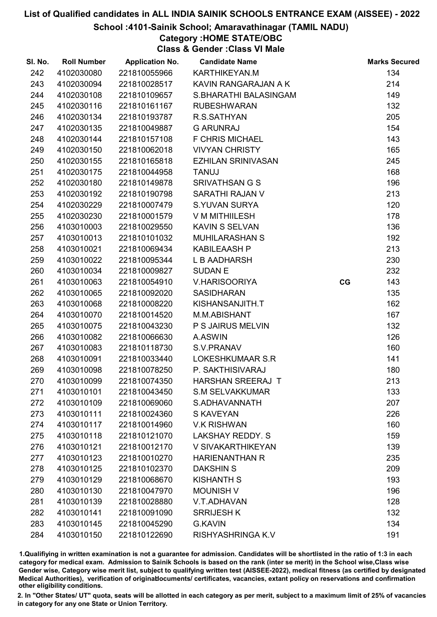#### School :4101-Sainik School; Amaravathinagar (TAMIL NADU)

Category :HOME STATE/OBC

Class & Gender :Class VI Male

| SI. No. | <b>Roll Number</b> | <b>Application No.</b> | <b>Candidate Name</b>     |    | <b>Marks Secured</b> |
|---------|--------------------|------------------------|---------------------------|----|----------------------|
| 242     | 4102030080         | 221810055966           | KARTHIKEYAN.M             |    | 134                  |
| 243     | 4102030094         | 221810028517           | KAVIN RANGARAJAN A K      |    | 214                  |
| 244     | 4102030108         | 221810109657           | S.BHARATHI BALASINGAM     |    | 149                  |
| 245     | 4102030116         | 221810161167           | <b>RUBESHWARAN</b>        |    | 132                  |
| 246     | 4102030134         | 221810193787           | R.S.SATHYAN               |    | 205                  |
| 247     | 4102030135         | 221810049887           | <b>G ARUNRAJ</b>          |    | 154                  |
| 248     | 4102030144         | 221810157108           | <b>F CHRIS MICHAEL</b>    |    | 143                  |
| 249     | 4102030150         | 221810062018           | <b>VIVYAN CHRISTY</b>     |    | 165                  |
| 250     | 4102030155         | 221810165818           | <b>EZHILAN SRINIVASAN</b> |    | 245                  |
| 251     | 4102030175         | 221810044958           | <b>TANUJ</b>              |    | 168                  |
| 252     | 4102030180         | 221810149878           | <b>SRIVATHSAN G S</b>     |    | 196                  |
| 253     | 4102030192         | 221810190798           | SARATHI RAJAN V           |    | 213                  |
| 254     | 4102030229         | 221810007479           | <b>S.YUVAN SURYA</b>      |    | 120                  |
| 255     | 4102030230         | 221810001579           | V M MITHIILESH            |    | 178                  |
| 256     | 4103010003         | 221810029550           | <b>KAVIN S SELVAN</b>     |    | 136                  |
| 257     | 4103010013         | 221810101032           | <b>MUHILARASHAN S</b>     |    | 192                  |
| 258     | 4103010021         | 221810069434           | <b>KABILEAASH P</b>       |    | 213                  |
| 259     | 4103010022         | 221810095344           | L B AADHARSH              |    | 230                  |
| 260     | 4103010034         | 221810009827           | <b>SUDAN E</b>            |    | 232                  |
| 261     | 4103010063         | 221810054910           | <b>V.HARISOORIYA</b>      | CG | 143                  |
| 262     | 4103010065         | 221810092020           | <b>SASIDHARAN</b>         |    | 135                  |
| 263     | 4103010068         | 221810008220           | KISHANSANJITH.T           |    | 162                  |
| 264     | 4103010070         | 221810014520           | M.M.ABISHANT              |    | 167                  |
| 265     | 4103010075         | 221810043230           | P S JAIRUS MELVIN         |    | 132                  |
| 266     | 4103010082         | 221810066630           | A.ASWIN                   |    | 126                  |
| 267     | 4103010083         | 221810118730           | S.V.PRANAV                |    | 160                  |
| 268     | 4103010091         | 221810033440           | LOKESHKUMAAR S.R          |    | 141                  |
| 269     | 4103010098         | 221810078250           | P. SAKTHISIVARAJ          |    | 180                  |
| 270     | 4103010099         | 221810074350           | HARSHAN SREERAJ T         |    | 213                  |
| 271     | 4103010101         | 221810043450           | <b>S.M SELVAKKUMAR</b>    |    | 133                  |
| 272     | 4103010109         | 221810069060           | S.ADHAVANNATH             |    | 207                  |
| 273     | 4103010111         | 221810024360           | S KAVEYAN                 |    | 226                  |
| 274     | 4103010117         | 221810014960           | <b>V.K RISHWAN</b>        |    | 160                  |
| 275     | 4103010118         | 221810121070           | LAKSHAY REDDY. S          |    | 159                  |
| 276     | 4103010121         | 221810012170           | V SIVAKARTHIKEYAN         |    | 139                  |
| 277     | 4103010123         | 221810010270           | <b>HARIENANTHAN R</b>     |    | 235                  |
| 278     | 4103010125         | 221810102370           | <b>DAKSHINS</b>           |    | 209                  |
| 279     | 4103010129         | 221810068670           | <b>KISHANTH S</b>         |    | 193                  |
| 280     | 4103010130         | 221810047970           | <b>MOUNISH V</b>          |    | 196                  |
| 281     | 4103010139         | 221810028880           | V.T.ADHAVAN               |    | 128                  |
| 282     | 4103010141         | 221810091090           | <b>SRRIJESH K</b>         |    | 132                  |
| 283     | 4103010145         | 221810045290           | <b>G.KAVIN</b>            |    | 134                  |
| 284     | 4103010150         | 221810122690           | RISHYASHRINGA K.V         |    | 191                  |

1.Qualifiying in written examination is not a guarantee for admission. Candidates will be shortlisted in the ratio of 1:3 in each category for medical exam. Admission to Sainik Schools is based on the rank (inter se merit) in the School wise,Class wise Gender wise, Category wise merit list, subject to qualifying written test (AISSEE-2022), medical fitness (as certified by designated Medical Authorities), verification of originablocuments/ certificates, vacancies, extant policy on reservations and confirmation other eligibility conditions.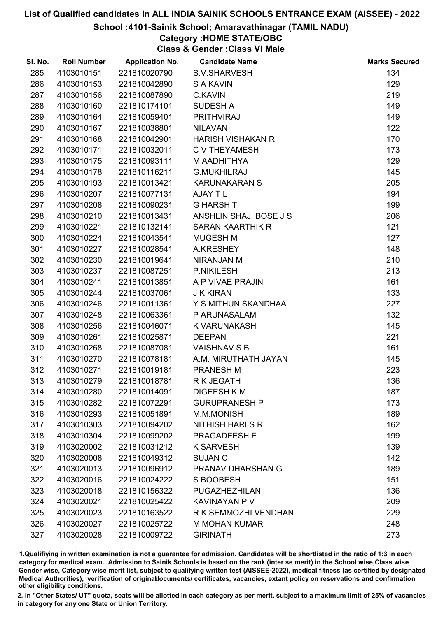#### School :4101-Sainik School; Amaravathinagar (TAMIL NADU)

# Category :HOME STATE/OBC

Class & Gender :Class VI Male

| SI. No. | <b>Roll Number</b> | <b>Application No.</b> | <b>Candidate Name</b>    | <b>Marks Secured</b> |
|---------|--------------------|------------------------|--------------------------|----------------------|
| 285     | 4103010151         | 221810020790           | S.V.SHARVESH             | 134                  |
| 286     | 4103010153         | 221810042890           | <b>S A KAVIN</b>         | 129                  |
| 287     | 4103010156         | 221810087890           | <b>C.KAVIN</b>           | 219                  |
| 288     | 4103010160         | 221810174101           | <b>SUDESH A</b>          | 149                  |
| 289     | 4103010164         | 221810059401           | <b>PRITHVIRAJ</b>        | 149                  |
| 290     | 4103010167         | 221810038801           | <b>NILAVAN</b>           | 122                  |
| 291     | 4103010168         | 221810042901           | <b>HARISH VISHAKAN R</b> | 170                  |
| 292     | 4103010171         | 221810032011           | <b>C V THEYAMESH</b>     | 173                  |
| 293     | 4103010175         | 221810093111           | M AADHITHYA              | 129                  |
| 294     | 4103010178         | 221810116211           | <b>G.MUKHILRAJ</b>       | 145                  |
| 295     | 4103010193         | 221810013421           | <b>KARUNAKARAN S</b>     | 205                  |
| 296     | 4103010207         | 221810077131           | AJAY T L                 | 194                  |
| 297     | 4103010208         | 221810090231           | <b>G HARSHIT</b>         | 199                  |
| 298     | 4103010210         | 221810013431           | ANSHLIN SHAJI BOSE J S   | 206                  |
| 299     | 4103010221         | 221810132141           | <b>SARAN KAARTHIK R</b>  | 121                  |
| 300     | 4103010224         | 221810043541           | <b>MUGESH M</b>          | 127                  |
| 301     | 4103010227         | 221810028541           | A.KRESHEY                | 148                  |
| 302     | 4103010230         | 221810019641           | NIRANJAN M               | 210                  |
| 303     | 4103010237         | 221810087251           | <b>P.NIKILESH</b>        | 213                  |
| 304     | 4103010241         | 221810013851           | A P VIVAE PRAJIN         | 161                  |
| 305     | 4103010244         | 221810037061           | <b>J K KIRAN</b>         | 133                  |
| 306     | 4103010246         | 221810011361           | Y S MITHUN SKANDHAA      | 227                  |
| 307     | 4103010248         | 221810063361           | P ARUNASALAM             | 132                  |
| 308     | 4103010256         | 221810046071           | K VARUNAKASH             | 145                  |
| 309     | 4103010261         | 221810025871           | <b>DEEPAN</b>            | 221                  |
| 310     | 4103010268         | 221810087081           | <b>VAISHNAV S B</b>      | 161                  |
| 311     | 4103010270         | 221810078181           | A.M. MIRUTHATH JAYAN     | 145                  |
| 312     | 4103010271         | 221810019181           | <b>PRANESH M</b>         | 223                  |
| 313     | 4103010279         | 221810018781           | R K JEGATH               | 136                  |
| 314     | 4103010280         | 221810014091           | <b>DIGEESH K M</b>       | 187                  |
| 315     | 4103010282         | 221810072291           | <b>GURUPRANESH P</b>     | 173                  |
| 316     | 4103010293         | 221810051891           | M.M.MONISH               | 189                  |
| 317     | 4103010303         | 221810094202           | <b>NITHISH HARI S R</b>  | 162                  |
| 318     | 4103010304         | 221810099202           | PRAGADEESH E             | 199                  |
| 319     | 4103020002         | 221810031212           | <b>K SARVESH</b>         | 139                  |
| 320     | 4103020008         | 221810049312           | <b>SUJAN C</b>           | 142                  |
| 321     | 4103020013         | 221810096912           | PRANAV DHARSHAN G        | 189                  |
| 322     | 4103020016         | 221810024222           | S BOOBESH                | 151                  |
| 323     | 4103020018         | 221810156322           | <b>PUGAZHEZHILAN</b>     | 136                  |
| 324     | 4103020021         | 221810025422           | <b>KAVINAYAN P V</b>     | 209                  |
| 325     | 4103020023         | 221810163522           | R K SEMMOZHI VENDHAN     | 229                  |
| 326     | 4103020027         | 221810025722           | <b>M MOHAN KUMAR</b>     | 248                  |
| 327     | 4103020028         | 221810009722           | <b>GIRINATH</b>          | 273                  |

1.Qualifiying in written examination is not a guarantee for admission. Candidates will be shortlisted in the ratio of 1:3 in each category for medical exam. Admission to Sainik Schools is based on the rank (inter se merit) in the School wise,Class wise Gender wise, Category wise merit list, subject to qualifying written test (AISSEE-2022), medical fitness (as certified by designated Medical Authorities), verification of originablocuments/ certificates, vacancies, extant policy on reservations and confirmation other eligibility conditions.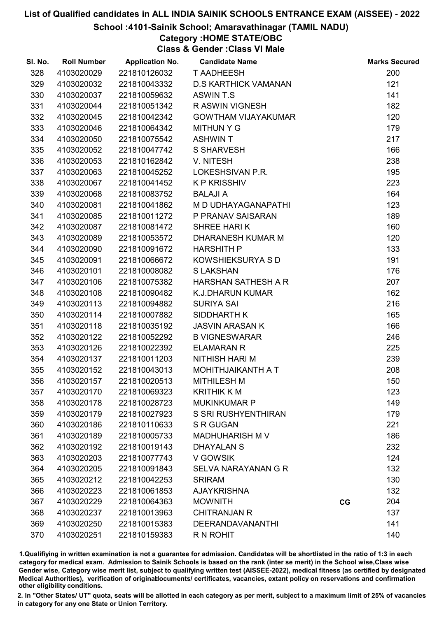#### School :4101-Sainik School; Amaravathinagar (TAMIL NADU)

## Category :HOME STATE/OBC

Class & Gender :Class VI Male

| SI. No. | <b>Roll Number</b> | <b>Application No.</b> | <b>Candidate Name</b>       |    | <b>Marks Secured</b> |
|---------|--------------------|------------------------|-----------------------------|----|----------------------|
| 328     | 4103020029         | 221810126032           | <b>T AADHEESH</b>           |    | 200                  |
| 329     | 4103020032         | 221810043332           | <b>D.S KARTHICK VAMANAN</b> |    | 121                  |
| 330     | 4103020037         | 221810059632           | ASWIN T.S                   |    | 141                  |
| 331     | 4103020044         | 221810051342           | <b>RASWIN VIGNESH</b>       |    | 182                  |
| 332     | 4103020045         | 221810042342           | <b>GOWTHAM VIJAYAKUMAR</b>  |    | 120                  |
| 333     | 4103020046         | 221810064342           | <b>MITHUN Y G</b>           |    | 179                  |
| 334     | 4103020050         | 221810075542           | <b>ASHWIN T</b>             |    | 217                  |
| 335     | 4103020052         | 221810047742           | <b>S SHARVESH</b>           |    | 166                  |
| 336     | 4103020053         | 221810162842           | V. NITESH                   |    | 238                  |
| 337     | 4103020063         | 221810045252           | LOKESHSIVAN P.R.            |    | 195                  |
| 338     | 4103020067         | 221810041452           | <b>KP KRISSHIV</b>          |    | 223                  |
| 339     | 4103020068         | 221810083752           | <b>BALAJI A</b>             |    | 164                  |
| 340     | 4103020081         | 221810041862           | M D UDHAYAGANAPATHI         |    | 123                  |
| 341     | 4103020085         | 221810011272           | P PRANAV SAISARAN           |    | 189                  |
| 342     | 4103020087         | 221810081472           | SHREE HARIK                 |    | 160                  |
| 343     | 4103020089         | 221810053572           | DHARANESH KUMAR M           |    | 120                  |
| 344     | 4103020090         | 221810091672           | <b>HARSHITH P</b>           |    | 133                  |
| 345     | 4103020091         | 221810066672           | KOWSHIEKSURYA S D           |    | 191                  |
| 346     | 4103020101         | 221810008082           | <b>SLAKSHAN</b>             |    | 176                  |
| 347     | 4103020106         | 221810075382           | <b>HARSHAN SATHESH A R</b>  |    | 207                  |
| 348     | 4103020108         | 221810090482           | <b>K.J.DHARUN KUMAR</b>     |    | 162                  |
| 349     | 4103020113         | 221810094882           | <b>SURIYA SAI</b>           |    | 216                  |
| 350     | 4103020114         | 221810007882           | SIDDHARTH K                 |    | 165                  |
| 351     | 4103020118         | 221810035192           | <b>JASVIN ARASAN K</b>      |    | 166                  |
| 352     | 4103020122         | 221810052292           | <b>B VIGNESWARAR</b>        |    | 246                  |
| 353     | 4103020126         | 221810022392           | <b>ELAMARAN R</b>           |    | 225                  |
| 354     | 4103020137         | 221810011203           | <b>NITHISH HARI M</b>       |    | 239                  |
| 355     | 4103020152         | 221810043013           | MOHITHJAIKANTH A T          |    | 208                  |
| 356     | 4103020157         | 221810020513           | <b>MITHILESH M</b>          |    | 150                  |
| 357     | 4103020170         | 221810069323           | <b>KRITHIK K M</b>          |    | 123                  |
| 358     | 4103020178         | 221810028723           | <b>MUKINKUMAR P</b>         |    | 149                  |
| 359     | 4103020179         | 221810027923           | S SRI RUSHYENTHIRAN         |    | 179                  |
| 360     | 4103020186         | 221810110633           | <b>S R GUGAN</b>            |    | 221                  |
| 361     | 4103020189         | 221810005733           | <b>MADHUHARISH M V</b>      |    | 186                  |
| 362     | 4103020192         | 221810019143           | <b>DHAYALAN S</b>           |    | 232                  |
| 363     | 4103020203         | 221810077743           | V GOWSIK                    |    | 124                  |
| 364     | 4103020205         | 221810091843           | SELVA NARAYANAN G R         |    | 132                  |
| 365     | 4103020212         | 221810042253           | <b>SRIRAM</b>               |    | 130                  |
| 366     | 4103020223         | 221810061853           | <b>AJAYKRISHNA</b>          |    | 132                  |
| 367     | 4103020229         | 221810064363           | <b>MOWNITH</b>              | CG | 204                  |
| 368     | 4103020237         | 221810013963           | <b>CHITRANJAN R</b>         |    | 137                  |
| 369     | 4103020250         | 221810015383           | <b>DEERANDAVANANTHI</b>     |    | 141                  |
| 370     | 4103020251         | 221810159383           | R N ROHIT                   |    | 140                  |

1.Qualifiying in written examination is not a guarantee for admission. Candidates will be shortlisted in the ratio of 1:3 in each category for medical exam. Admission to Sainik Schools is based on the rank (inter se merit) in the School wise,Class wise Gender wise, Category wise merit list, subject to qualifying written test (AISSEE-2022), medical fitness (as certified by designated Medical Authorities), verification of originablocuments/ certificates, vacancies, extant policy on reservations and confirmation other eligibility conditions.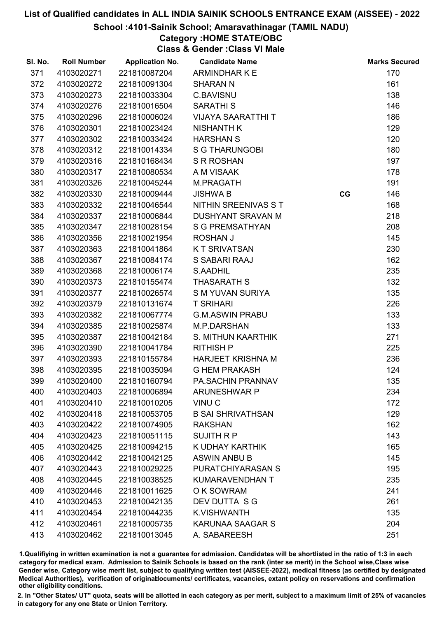#### School :4101-Sainik School; Amaravathinagar (TAMIL NADU)

# Category :HOME STATE/OBC

Class & Gender :Class VI Male

| SI. No. | <b>Roll Number</b> | <b>Application No.</b> | <b>Candidate Name</b>     |    | <b>Marks Secured</b> |
|---------|--------------------|------------------------|---------------------------|----|----------------------|
| 371     | 4103020271         | 221810087204           | ARMINDHAR K E             |    | 170                  |
| 372     | 4103020272         | 221810091304           | <b>SHARAN N</b>           |    | 161                  |
| 373     | 4103020273         | 221810033304           | <b>C.BAVISNU</b>          |    | 138                  |
| 374     | 4103020276         | 221810016504           | <b>SARATHI S</b>          |    | 146                  |
| 375     | 4103020296         | 221810006024           | <b>VIJAYA SAARATTHI T</b> |    | 186                  |
| 376     | 4103020301         | 221810023424           | <b>NISHANTH K</b>         |    | 129                  |
| 377     | 4103020302         | 221810033424           | <b>HARSHAN S</b>          |    | 120                  |
| 378     | 4103020312         | 221810014334           | <b>S G THARUNGOBI</b>     |    | 180                  |
| 379     | 4103020316         | 221810168434           | <b>S R ROSHAN</b>         |    | 197                  |
| 380     | 4103020317         | 221810080534           | A M VISAAK                |    | 178                  |
| 381     | 4103020326         | 221810045244           | M.PRAGATH                 |    | 191                  |
| 382     | 4103020330         | 221810009444           | <b>JISHWA B</b>           | CG | 146                  |
| 383     | 4103020332         | 221810046544           | NITHIN SREENIVAS S T      |    | 168                  |
| 384     | 4103020337         | 221810006844           | <b>DUSHYANT SRAVAN M</b>  |    | 218                  |
| 385     | 4103020347         | 221810028154           | <b>S G PREMSATHYAN</b>    |    | 208                  |
| 386     | 4103020356         | 221810021954           | <b>ROSHAN J</b>           |    | 145                  |
| 387     | 4103020363         | 221810041864           | <b>KT SRIVATSAN</b>       |    | 230                  |
| 388     | 4103020367         | 221810084174           | S SABARI RAAJ             |    | 162                  |
| 389     | 4103020368         | 221810006174           | S.AADHIL                  |    | 235                  |
| 390     | 4103020373         | 221810155474           | <b>THASARATH S</b>        |    | 132                  |
| 391     | 4103020377         | 221810026574           | S M YUVAN SURIYA          |    | 135                  |
| 392     | 4103020379         | 221810131674           | <b>T SRIHARI</b>          |    | 226                  |
| 393     | 4103020382         | 221810067774           | <b>G.M.ASWIN PRABU</b>    |    | 133                  |
| 394     | 4103020385         | 221810025874           | M.P.DARSHAN               |    | 133                  |
| 395     | 4103020387         | 221810042184           | S. MITHUN KAARTHIK        |    | 271                  |
| 396     | 4103020390         | 221810041784           | <b>RITHISH P</b>          |    | 225                  |
| 397     | 4103020393         | 221810155784           | <b>HARJEET KRISHNA M</b>  |    | 236                  |
| 398     | 4103020395         | 221810035094           | <b>G HEM PRAKASH</b>      |    | 124                  |
| 399     | 4103020400         | 221810160794           | <b>PA.SACHIN PRANNAV</b>  |    | 135                  |
| 400     | 4103020403         | 221810006894           | <b>ARUNESHWAR P</b>       |    | 234                  |
| 401     | 4103020410         | 221810010205           | VINU <sub>C</sub>         |    | 172                  |
| 402     | 4103020418         | 221810053705           | <b>B SAI SHRIVATHSAN</b>  |    | 129                  |
| 403     | 4103020422         | 221810074905           | <b>RAKSHAN</b>            |    | 162                  |
| 404     | 4103020423         | 221810051115           | <b>SUJITH R P</b>         |    | 143                  |
| 405     | 4103020425         | 221810094215           | K UDHAY KARTHIK           |    | 165                  |
| 406     | 4103020442         | 221810042125           | <b>ASWIN ANBU B</b>       |    | 145                  |
| 407     | 4103020443         | 221810029225           | PURATCHIYARASAN S         |    | 195                  |
| 408     | 4103020445         | 221810038525           | <b>KUMARAVENDHAN T</b>    |    | 235                  |
| 409     | 4103020446         | 221810011625           | O K SOWRAM                |    | 241                  |
| 410     | 4103020453         | 221810042135           | DEV DUTTA S G             |    | 261                  |
| 411     | 4103020454         | 221810044235           | <b>K.VISHWANTH</b>        |    | 135                  |
| 412     | 4103020461         | 221810005735           | <b>KARUNAA SAAGAR S</b>   |    | 204                  |
| 413     | 4103020462         | 221810013045           | A. SABAREESH              |    | 251                  |

1.Qualifiying in written examination is not a guarantee for admission. Candidates will be shortlisted in the ratio of 1:3 in each category for medical exam. Admission to Sainik Schools is based on the rank (inter se merit) in the School wise,Class wise Gender wise, Category wise merit list, subject to qualifying written test (AISSEE-2022), medical fitness (as certified by designated Medical Authorities), verification of originablocuments/ certificates, vacancies, extant policy on reservations and confirmation other eligibility conditions.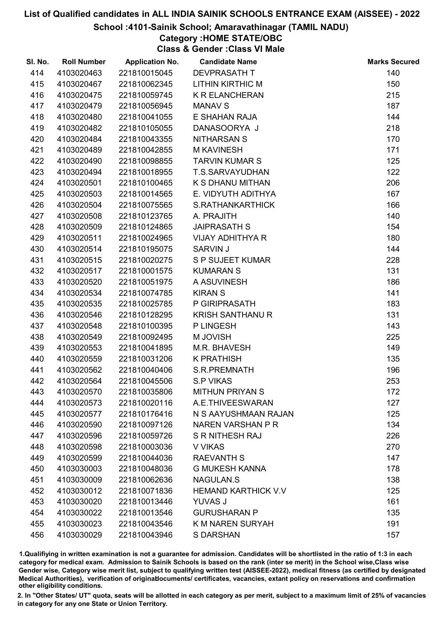#### School :4101-Sainik School; Amaravathinagar (TAMIL NADU)

# Category :HOME STATE/OBC

Class & Gender :Class VI Male

| SI. No. | <b>Roll Number</b> | <b>Application No.</b> | <b>Candidate Name</b>      | <b>Marks Secured</b> |
|---------|--------------------|------------------------|----------------------------|----------------------|
| 414     | 4103020463         | 221810015045           | <b>DEVPRASATH T</b>        | 140                  |
| 415     | 4103020467         | 221810062345           | <b>LITHIN KIRTHIC M</b>    | 150                  |
| 416     | 4103020475         | 221810059745           | <b>K R ELANCHERAN</b>      | 215                  |
| 417     | 4103020479         | 221810056945           | <b>MANAV S</b>             | 187                  |
| 418     | 4103020480         | 221810041055           | E SHAHAN RAJA              | 144                  |
| 419     | 4103020482         | 221810105055           | DANASOORYA J               | 218                  |
| 420     | 4103020484         | 221810043355           | <b>NITHARSAN S</b>         | 170                  |
| 421     | 4103020489         | 221810042855           | <b>M KAVINESH</b>          | 171                  |
| 422     | 4103020490         | 221810098855           | <b>TARVIN KUMAR S</b>      | 125                  |
| 423     | 4103020494         | 221810018955           | T.S.SARVAYUDHAN            | 122                  |
| 424     | 4103020501         | 221810100465           | K S DHANU MITHAN           | 206                  |
| 425     | 4103020503         | 221810014565           | E. VIDYUTH ADITHYA         | 167                  |
| 426     | 4103020504         | 221810075565           | S.RATHANKARTHICK           | 166                  |
| 427     | 4103020508         | 221810123765           | A. PRAJITH                 | 140                  |
| 428     | 4103020509         | 221810124865           | <b>JAIPRASATH S</b>        | 154                  |
| 429     | 4103020511         | 221810024965           | <b>VIJAY ADHITHYA R</b>    | 180                  |
| 430     | 4103020514         | 221810195075           | <b>SARVIN J</b>            | 144                  |
| 431     | 4103020515         | 221810020275           | <b>S P SUJEET KUMAR</b>    | 228                  |
| 432     | 4103020517         | 221810001575           | <b>KUMARAN S</b>           | 131                  |
| 433     | 4103020520         | 221810051975           | A ASUVINESH                | 186                  |
| 434     | 4103020534         | 221810074785           | <b>KIRAN S</b>             | 141                  |
| 435     | 4103020535         | 221810025785           | P GIRIPRASATH              | 183                  |
| 436     | 4103020546         | 221810128295           | <b>KRISH SANTHANU R</b>    | 131                  |
| 437     | 4103020548         | 221810100395           | P LINGESH                  | 143                  |
| 438     | 4103020549         | 221810092495           | M JOVISH                   | 225                  |
| 439     | 4103020553         | 221810041895           | M.R. BHAVESH               | 149                  |
| 440     | 4103020559         | 221810031206           | <b>K PRATHISH</b>          | 135                  |
| 441     | 4103020562         | 221810040406           | S.R.PREMNATH               | 196                  |
| 442     | 4103020564         | 221810045506           | <b>S.P VIKAS</b>           | 253                  |
| 443     | 4103020570         | 221810035806           | <b>MITHUN PRIYAN S</b>     | 172                  |
| 444     | 4103020573         | 221810020116           | A.E.THIVEESWARAN           | 127                  |
| 445     | 4103020577         | 221810176416           | N S AAYUSHMAAN RAJAN       | 125                  |
| 446     | 4103020590         | 221810097126           | NAREN VARSHAN P R          | 134                  |
| 447     | 4103020596         | 221810059726           | <b>S R NITHESH RAJ</b>     | 226                  |
| 448     | 4103020598         | 221810003036           | V VIKAS                    | 270                  |
| 449     | 4103020599         | 221810044036           | <b>RAEVANTH S</b>          | 147                  |
| 450     | 4103030003         | 221810048036           | <b>G MUKESH KANNA</b>      | 178                  |
| 451     | 4103030009         | 221810062636           | NAGULAN.S                  | 138                  |
| 452     | 4103030012         | 221810071836           | <b>HEMAND KARTHICK V.V</b> | 125                  |
| 453     | 4103030020         | 221810013446           | <b>YUVAS J</b>             | 161                  |
| 454     | 4103030022         | 221810013546           | <b>GURUSHARAN P</b>        | 135                  |
| 455     | 4103030023         | 221810043546           | <b>K M NAREN SURYAH</b>    | 191                  |
| 456     | 4103030029         | 221810043946           | S DARSHAN                  | 157                  |

1.Qualifiying in written examination is not a guarantee for admission. Candidates will be shortlisted in the ratio of 1:3 in each category for medical exam. Admission to Sainik Schools is based on the rank (inter se merit) in the School wise,Class wise Gender wise, Category wise merit list, subject to qualifying written test (AISSEE-2022), medical fitness (as certified by designated Medical Authorities), verification of originablocuments/ certificates, vacancies, extant policy on reservations and confirmation other eligibility conditions.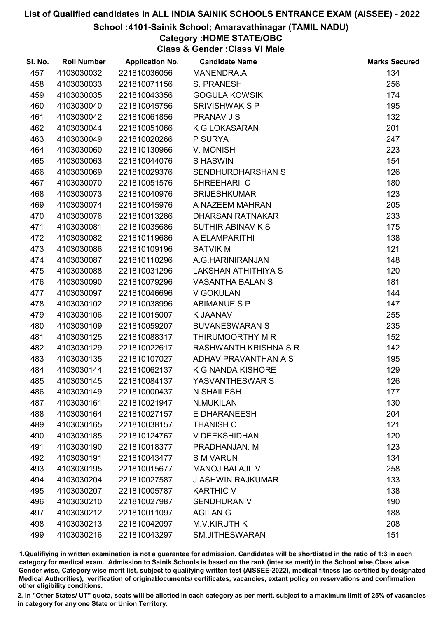#### School :4101-Sainik School; Amaravathinagar (TAMIL NADU)

## Category :HOME STATE/OBC

Class & Gender :Class VI Male

| SI. No. | <b>Roll Number</b> | <b>Application No.</b> | <b>Candidate Name</b>        | <b>Marks Secured</b> |
|---------|--------------------|------------------------|------------------------------|----------------------|
| 457     | 4103030032         | 221810036056           | MANENDRA.A                   | 134                  |
| 458     | 4103030033         | 221810071156           | S. PRANESH                   | 256                  |
| 459     | 4103030035         | 221810043356           | <b>GOGULA KOWSIK</b>         | 174                  |
| 460     | 4103030040         | 221810045756           | <b>SRIVISHWAK S P</b>        | 195                  |
| 461     | 4103030042         | 221810061856           | PRANAV J S                   | 132                  |
| 462     | 4103030044         | 221810051066           | K G LOKASARAN                | 201                  |
| 463     | 4103030049         | 221810020266           | P SURYA                      | 247                  |
| 464     | 4103030060         | 221810130966           | V. MONISH                    | 223                  |
| 465     | 4103030063         | 221810044076           | <b>SHASWIN</b>               | 154                  |
| 466     | 4103030069         | 221810029376           | <b>SENDHURDHARSHAN S</b>     | 126                  |
| 467     | 4103030070         | 221810051576           | SHREEHARI C                  | 180                  |
| 468     | 4103030073         | 221810040976           | <b>BRIJESHKUMAR</b>          | 123                  |
| 469     | 4103030074         | 221810045976           | A NAZEEM MAHRAN              | 205                  |
| 470     | 4103030076         | 221810013286           | <b>DHARSAN RATNAKAR</b>      | 233                  |
| 471     | 4103030081         | 221810035686           | <b>SUTHIR ABINAV K S</b>     | 175                  |
| 472     | 4103030082         | 221810119686           | A ELAMPARITHI                | 138                  |
| 473     | 4103030086         | 221810109196           | <b>SATVIK M</b>              | 121                  |
| 474     | 4103030087         | 221810110296           | A.G.HARINIRANJAN             | 148                  |
| 475     | 4103030088         | 221810031296           | <b>LAKSHAN ATHITHIYA S</b>   | 120                  |
| 476     | 4103030090         | 221810079296           | <b>VASANTHA BALAN S</b>      | 181                  |
| 477     | 4103030097         | 221810046696           | V GOKULAN                    | 144                  |
| 478     | 4103030102         | 221810038996           | <b>ABIMANUE S P</b>          | 147                  |
| 479     | 4103030106         | 221810015007           | <b>K JAANAV</b>              | 255                  |
| 480     | 4103030109         | 221810059207           | <b>BUVANESWARAN S</b>        | 235                  |
| 481     | 4103030125         | 221810088317           | THIRUMOORTHY M R             | 152                  |
| 482     | 4103030129         | 221810022617           | <b>RASHWANTH KRISHNA S R</b> | 142                  |
| 483     | 4103030135         | 221810107027           | ADHAV PRAVANTHAN A S         | 195                  |
| 484     | 4103030144         | 221810062137           | <b>K G NANDA KISHORE</b>     | 129                  |
| 485     | 4103030145         | 221810084137           | YASVANTHESWAR S              | 126                  |
| 486     | 4103030149         | 221810000437           | <b>N SHAILESH</b>            | 177                  |
| 487     | 4103030161         | 221810021947           | N.MUKILAN                    | 130                  |
| 488     | 4103030164         | 221810027157           | E DHARANEESH                 | 204                  |
| 489     | 4103030165         | 221810038157           | <b>THANISH C</b>             | 121                  |
| 490     | 4103030185         | 221810124767           | V DEEKSHIDHAN                | 120                  |
| 491     | 4103030190         | 221810018377           | PRADHANJAN. M                | 123                  |
| 492     | 4103030191         | 221810043477           | <b>S M VARUN</b>             | 134                  |
| 493     | 4103030195         | 221810015677           | <b>MANOJ BALAJI. V</b>       | 258                  |
| 494     | 4103030204         | 221810027587           | <b>J ASHWIN RAJKUMAR</b>     | 133                  |
| 495     | 4103030207         | 221810005787           | <b>KARTHIC V</b>             | 138                  |
| 496     | 4103030210         | 221810027987           | <b>SENDHURAN V</b>           | 190                  |
| 497     | 4103030212         | 221810011097           | <b>AGILAN G</b>              | 188                  |
| 498     | 4103030213         | 221810042097           | <b>M.V.KIRUTHIK</b>          | 208                  |
| 499     | 4103030216         | 221810043297           | SM.JITHESWARAN               | 151                  |

1.Qualifiying in written examination is not a guarantee for admission. Candidates will be shortlisted in the ratio of 1:3 in each category for medical exam. Admission to Sainik Schools is based on the rank (inter se merit) in the School wise,Class wise Gender wise, Category wise merit list, subject to qualifying written test (AISSEE-2022), medical fitness (as certified by designated Medical Authorities), verification of originablocuments/ certificates, vacancies, extant policy on reservations and confirmation other eligibility conditions.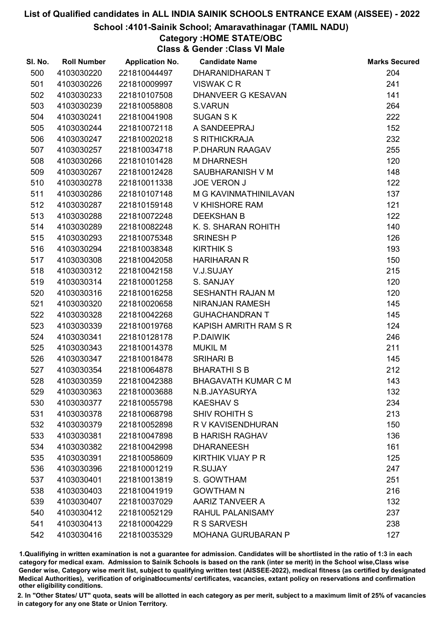#### School :4101-Sainik School; Amaravathinagar (TAMIL NADU)

### Category :HOME STATE/OBC

Class & Gender :Class VI Male

| SI. No. | <b>Roll Number</b> | <b>Application No.</b> | <b>Candidate Name</b>      | <b>Marks Secured</b> |
|---------|--------------------|------------------------|----------------------------|----------------------|
| 500     | 4103030220         | 221810044497           | DHARANIDHARAN T            | 204                  |
| 501     | 4103030226         | 221810009997           | VISWAK C R                 | 241                  |
| 502     | 4103030233         | 221810107508           | <b>DHANVEER G KESAVAN</b>  | 141                  |
| 503     | 4103030239         | 221810058808           | <b>S.VARUN</b>             | 264                  |
| 504     | 4103030241         | 221810041908           | <b>SUGAN SK</b>            | 222                  |
| 505     | 4103030244         | 221810072118           | A SANDEEPRAJ               | 152                  |
| 506     | 4103030247         | 221810020218           | S RITHICKRAJA              | 232                  |
| 507     | 4103030257         | 221810034718           | P.DHARUN RAAGAV            | 255                  |
| 508     | 4103030266         | 221810101428           | <b>M DHARNESH</b>          | 120                  |
| 509     | 4103030267         | 221810012428           | SAUBHARANISH V M           | 148                  |
| 510     | 4103030278         | 221810011338           | <b>JOE VERON J</b>         | 122                  |
| 511     | 4103030286         | 221810107148           | M G KAVINMATHINILAVAN      | 137                  |
| 512     | 4103030287         | 221810159148           | <b>V KHISHORE RAM</b>      | 121                  |
| 513     | 4103030288         | 221810072248           | <b>DEEKSHAN B</b>          | 122                  |
| 514     | 4103030289         | 221810082248           | K. S. SHARAN ROHITH        | 140                  |
| 515     | 4103030293         | 221810075348           | <b>SRINESH P</b>           | 126                  |
| 516     | 4103030294         | 221810038348           | <b>KIRTHIK S</b>           | 193                  |
| 517     | 4103030308         | 221810042058           | <b>HARIHARAN R</b>         | 150                  |
| 518     | 4103030312         | 221810042158           | V.J.SUJAY                  | 215                  |
| 519     | 4103030314         | 221810001258           | S. SANJAY                  | 120                  |
| 520     | 4103030316         | 221810016258           | <b>SESHANTH RAJAN M</b>    | 120                  |
| 521     | 4103030320         | 221810020658           | NIRANJAN RAMESH            | 145                  |
| 522     | 4103030328         | 221810042268           | <b>GUHACHANDRAN T</b>      | 145                  |
| 523     | 4103030339         | 221810019768           | KAPISH AMRITH RAM S R      | 124                  |
| 524     | 4103030341         | 221810128178           | P.DAIWIK                   | 246                  |
| 525     | 4103030343         | 221810014378           | <b>MUKIL M</b>             | 211                  |
| 526     | 4103030347         | 221810018478           | <b>SRIHARI B</b>           | 145                  |
| 527     | 4103030354         | 221810064878           | <b>BHARATHI S B</b>        | 212                  |
| 528     | 4103030359         | 221810042388           | <b>BHAGAVATH KUMAR C M</b> | 143                  |
| 529     | 4103030363         | 221810003688           | N.B.JAYASURYA              | 132                  |
| 530     | 4103030377         | 221810055798           | <b>KAESHAV S</b>           | 234                  |
| 531     | 4103030378         | 221810068798           | <b>SHIV ROHITH S</b>       | 213                  |
| 532     | 4103030379         | 221810052898           | R V KAVISENDHURAN          | 150                  |
| 533     | 4103030381         | 221810047898           | <b>B HARISH RAGHAV</b>     | 136                  |
| 534     | 4103030382         | 221810042998           | <b>DHARANEESH</b>          | 161                  |
| 535     | 4103030391         | 221810058609           | <b>KIRTHIK VIJAY P R</b>   | 125                  |
| 536     | 4103030396         | 221810001219           | R.SUJAY                    | 247                  |
| 537     | 4103030401         | 221810013819           | S. GOWTHAM                 | 251                  |
| 538     | 4103030403         | 221810041919           | <b>GOWTHAM N</b>           | 216                  |
| 539     | 4103030407         | 221810037029           | AARIZ TANVEER A            | 132                  |
| 540     | 4103030412         | 221810052129           | <b>RAHUL PALANISAMY</b>    | 237                  |
| 541     | 4103030413         | 221810004229           | <b>R S SARVESH</b>         | 238                  |
| 542     | 4103030416         | 221810035329           | <b>MOHANA GURUBARAN P</b>  | 127                  |

1.Qualifiying in written examination is not a guarantee for admission. Candidates will be shortlisted in the ratio of 1:3 in each category for medical exam. Admission to Sainik Schools is based on the rank (inter se merit) in the School wise,Class wise Gender wise, Category wise merit list, subject to qualifying written test (AISSEE-2022), medical fitness (as certified by designated Medical Authorities), verification of originablocuments/ certificates, vacancies, extant policy on reservations and confirmation other eligibility conditions.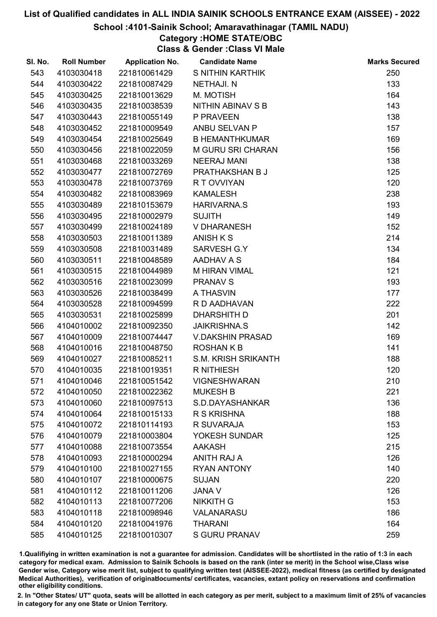#### School :4101-Sainik School; Amaravathinagar (TAMIL NADU)

## Category :HOME STATE/OBC

Class & Gender :Class VI Male

| SI. No. | <b>Roll Number</b> | <b>Application No.</b> | <b>Candidate Name</b>      | <b>Marks Secured</b> |
|---------|--------------------|------------------------|----------------------------|----------------------|
| 543     | 4103030418         | 221810061429           | S NITHIN KARTHIK           | 250                  |
| 544     | 4103030422         | 221810087429           | <b>NETHAJI. N</b>          | 133                  |
| 545     | 4103030425         | 221810013629           | M. MOTISH                  | 164                  |
| 546     | 4103030435         | 221810038539           | NITHIN ABINAV S B          | 143                  |
| 547     | 4103030443         | 221810055149           | P PRAVEEN                  | 138                  |
| 548     | 4103030452         | 221810009549           | ANBU SELVAN P              | 157                  |
| 549     | 4103030454         | 221810025649           | <b>B HEMANTHKUMAR</b>      | 169                  |
| 550     | 4103030456         | 221810022059           | <b>M GURU SRI CHARAN</b>   | 156                  |
| 551     | 4103030468         | 221810033269           | <b>NEERAJ MANI</b>         | 138                  |
| 552     | 4103030477         | 221810072769           | PRATHAKSHAN B J            | 125                  |
| 553     | 4103030478         | 221810073769           | R T OVVIYAN                | 120                  |
| 554     | 4103030482         | 221810083969           | <b>KAMALESH</b>            | 238                  |
| 555     | 4103030489         | 221810153679           | <b>HARIVARNA.S</b>         | 193                  |
| 556     | 4103030495         | 221810002979           | <b>SUJITH</b>              | 149                  |
| 557     | 4103030499         | 221810024189           | <b>V DHARANESH</b>         | 152                  |
| 558     | 4103030503         | 221810011389           | <b>ANISH K S</b>           | 214                  |
| 559     | 4103030508         | 221810031489           | SARVESH G.Y                | 134                  |
| 560     | 4103030511         | 221810048589           | AADHAV A S                 | 184                  |
| 561     | 4103030515         | 221810044989           | <b>M HIRAN VIMAL</b>       | 121                  |
| 562     | 4103030516         | 221810023099           | <b>PRANAV S</b>            | 193                  |
| 563     | 4103030526         | 221810038499           | A THASVIN                  | 177                  |
| 564     | 4103030528         | 221810094599           | R D AADHAVAN               | 222                  |
| 565     | 4103030531         | 221810025899           | <b>DHARSHITH D</b>         | 201                  |
| 566     | 4104010002         | 221810092350           | <b>JAIKRISHNA.S</b>        | 142                  |
| 567     | 4104010009         | 221810074447           | <b>V.DAKSHIN PRASAD</b>    | 169                  |
| 568     | 4104010016         | 221810048750           | <b>ROSHANKB</b>            | 141                  |
| 569     | 4104010027         | 221810085211           | <b>S.M. KRISH SRIKANTH</b> | 188                  |
| 570     | 4104010035         | 221810019351           | <b>R NITHIESH</b>          | 120                  |
| 571     | 4104010046         | 221810051542           | <b>VIGNESHWARAN</b>        | 210                  |
| 572     | 4104010050         | 221810022362           | <b>MUKESH B</b>            | 221                  |
| 573     | 4104010060         | 221810097513           | S.D.DAYASHANKAR            | 136                  |
| 574     | 4104010064         | 221810015133           | R S KRISHNA                | 188                  |
| 575     | 4104010072         | 221810114193           | R SUVARAJA                 | 153                  |
| 576     | 4104010079         | 221810003804           | YOKESH SUNDAR              | 125                  |
| 577     | 4104010088         | 221810073554           | <b>AAKASH</b>              | 215                  |
| 578     | 4104010093         | 221810000294           | <b>ANITH RAJ A</b>         | 126                  |
| 579     | 4104010100         | 221810027155           | <b>RYAN ANTONY</b>         | 140                  |
| 580     | 4104010107         | 221810000675           | <b>SUJAN</b>               | 220                  |
| 581     | 4104010112         | 221810011206           | <b>JANA V</b>              | 126                  |
| 582     | 4104010113         | 221810077206           | <b>NIKKITH G</b>           | 153                  |
| 583     | 4104010118         | 221810098946           | VALANARASU                 | 186                  |
| 584     | 4104010120         | 221810041976           | <b>THARANI</b>             | 164                  |
| 585     | 4104010125         | 221810010307           | <b>S GURU PRANAV</b>       | 259                  |

1.Qualifiying in written examination is not a guarantee for admission. Candidates will be shortlisted in the ratio of 1:3 in each category for medical exam. Admission to Sainik Schools is based on the rank (inter se merit) in the School wise,Class wise Gender wise, Category wise merit list, subject to qualifying written test (AISSEE-2022), medical fitness (as certified by designated Medical Authorities), verification of originablocuments/ certificates, vacancies, extant policy on reservations and confirmation other eligibility conditions.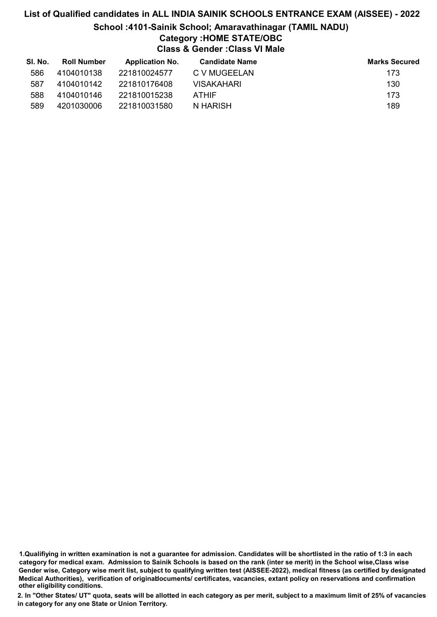# List of Qualified candidates in ALL INDIA SAINIK SCHOOLS ENTRANCE EXAM (AISSEE) - 2022 School :4101-Sainik School; Amaravathinagar (TAMIL NADU) Category :HOME STATE/OBC Class & Gender :Class VI Male

| SI. No. | <b>Roll Number</b> | <b>Application No.</b> | <b>Candidate Name</b> | <b>Marks Secured</b> |
|---------|--------------------|------------------------|-----------------------|----------------------|
| 586     | 4104010138         | 221810024577           | C V MUGEELAN          | 173                  |
| 587     | 4104010142         | 221810176408           | <b>VISAKAHARI</b>     | 130                  |
| 588     | 4104010146         | 221810015238           | <b>ATHIF</b>          | 173                  |
| 589     | 4201030006         | 221810031580           | N HARISH              | 189                  |

1.Qualifiying in written examination is not a guarantee for admission. Candidates will be shortlisted in the ratio of 1:3 in each category for medical exam. Admission to Sainik Schools is based on the rank (inter se merit) in the School wise,Class wise Gender wise, Category wise merit list, subject to qualifying written test (AISSEE-2022), medical fitness (as certified by designated Medical Authorities), verification of originablocuments/ certificates, vacancies, extant policy on reservations and confirmation other eligibility conditions.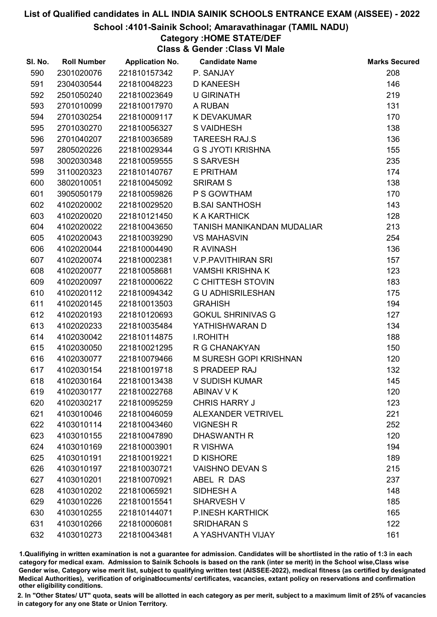School :4101-Sainik School; Amaravathinagar (TAMIL NADU)

## Category :HOME STATE/DEF

Class & Gender :Class VI Male

| SI. No. | <b>Roll Number</b> | <b>Application No.</b> | <b>Candidate Name</b>      | <b>Marks Secured</b> |
|---------|--------------------|------------------------|----------------------------|----------------------|
| 590     | 2301020076         | 221810157342           | P. SANJAY                  | 208                  |
| 591     | 2304030544         | 221810048223           | <b>D KANEESH</b>           | 146                  |
| 592     | 2501050240         | 221810023649           | <b>U GIRINATH</b>          | 219                  |
| 593     | 2701010099         | 221810017970           | A RUBAN                    | 131                  |
| 594     | 2701030254         | 221810009117           | <b>K DEVAKUMAR</b>         | 170                  |
| 595     | 2701030270         | 221810056327           | <b>S VAIDHESH</b>          | 138                  |
| 596     | 2701040207         | 221810036589           | <b>TAREESH RAJ.S</b>       | 136                  |
| 597     | 2805020226         | 221810029344           | <b>G S JYOTI KRISHNA</b>   | 155                  |
| 598     | 3002030348         | 221810059555           | <b>S SARVESH</b>           | 235                  |
| 599     | 3110020323         | 221810140767           | E PRITHAM                  | 174                  |
| 600     | 3802010051         | 221810045092           | <b>SRIRAM S</b>            | 138                  |
| 601     | 3905050179         | 221810059826           | P S GOWTHAM                | 170                  |
| 602     | 4102020002         | 221810029520           | <b>B.SAI SANTHOSH</b>      | 143                  |
| 603     | 4102020020         | 221810121450           | <b>K A KARTHICK</b>        | 128                  |
| 604     | 4102020022         | 221810043650           | TANISH MANIKANDAN MUDALIAR | 213                  |
| 605     | 4102020043         | 221810039290           | <b>VS MAHASVIN</b>         | 254                  |
| 606     | 4102020044         | 221810004490           | R AVINASH                  | 136                  |
| 607     | 4102020074         | 221810002381           | <b>V.P.PAVITHIRAN SRI</b>  | 157                  |
| 608     | 4102020077         | 221810058681           | <b>VAMSHI KRISHNA K</b>    | 123                  |
| 609     | 4102020097         | 221810000622           | C CHITTESH STOVIN          | 183                  |
| 610     | 4102020112         | 221810094342           | <b>GU ADHISRILESHAN</b>    | 175                  |
| 611     | 4102020145         | 221810013503           | <b>GRAHISH</b>             | 194                  |
| 612     | 4102020193         | 221810120693           | <b>GOKUL SHRINIVAS G</b>   | 127                  |
| 613     | 4102020233         | 221810035484           | YATHISHWARAN D             | 134                  |
| 614     | 4102030042         | 221810114875           | <b>I.ROHITH</b>            | 188                  |
| 615     | 4102030050         | 221810021295           | R G CHANAKYAN              | 150                  |
| 616     | 4102030077         | 221810079466           | M SURESH GOPI KRISHNAN     | 120                  |
| 617     | 4102030154         | 221810019718           | S PRADEEP RAJ              | 132                  |
| 618     | 4102030164         | 221810013438           | V SUDISH KUMAR             | 145                  |
| 619     | 4102030177         | 221810022768           | ABINAV V K                 | 120                  |
| 620     | 4102030217         | 221810095259           | <b>CHRIS HARRY J</b>       | 123                  |
| 621     | 4103010046         | 221810046059           | <b>ALEXANDER VETRIVEL</b>  | 221                  |
| 622     | 4103010114         | 221810043460           | <b>VIGNESH R</b>           | 252                  |
| 623     | 4103010155         | 221810047890           | <b>DHASWANTH R</b>         | 120                  |
| 624     | 4103010169         | 221810003901           | R VISHWA                   | 194                  |
| 625     | 4103010191         | 221810019221           | <b>D KISHORE</b>           | 189                  |
| 626     | 4103010197         | 221810030721           | <b>VAISHNO DEVAN S</b>     | 215                  |
| 627     | 4103010201         | 221810070921           | ABEL R DAS                 | 237                  |
| 628     | 4103010202         | 221810065921           | SIDHESH A                  | 148                  |
| 629     | 4103010226         | 221810015541           | <b>SHARVESH V</b>          | 185                  |
| 630     | 4103010255         | 221810144071           | <b>P.INESH KARTHICK</b>    | 165                  |
| 631     | 4103010266         | 221810006081           | <b>SRIDHARAN S</b>         | 122                  |
| 632     | 4103010273         | 221810043481           | A YASHVANTH VIJAY          | 161                  |

1.Qualifiying in written examination is not a guarantee for admission. Candidates will be shortlisted in the ratio of 1:3 in each category for medical exam. Admission to Sainik Schools is based on the rank (inter se merit) in the School wise,Class wise Gender wise, Category wise merit list, subject to qualifying written test (AISSEE-2022), medical fitness (as certified by designated Medical Authorities), verification of originablocuments/ certificates, vacancies, extant policy on reservations and confirmation other eligibility conditions.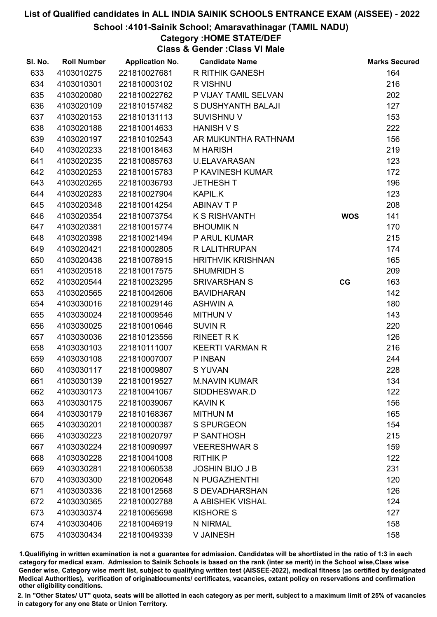#### School :4101-Sainik School; Amaravathinagar (TAMIL NADU)

## Category :HOME STATE/DEF

Class & Gender :Class VI Male

| SI. No. | <b>Roll Number</b> | <b>Application No.</b> | <b>Candidate Name</b>    |            | <b>Marks Secured</b> |
|---------|--------------------|------------------------|--------------------------|------------|----------------------|
| 633     | 4103010275         | 221810027681           | <b>R RITHIK GANESH</b>   |            | 164                  |
| 634     | 4103010301         | 221810003102           | R VISHNU                 |            | 216                  |
| 635     | 4103020080         | 221810022762           | P VIJAY TAMIL SELVAN     |            | 202                  |
| 636     | 4103020109         | 221810157482           | S DUSHYANTH BALAJI       |            | 127                  |
| 637     | 4103020153         | 221810131113           | <b>SUVISHNU V</b>        |            | 153                  |
| 638     | 4103020188         | 221810014633           | HANISH V S               |            | 222                  |
| 639     | 4103020197         | 221810102543           | AR MUKUNTHA RATHNAM      |            | 156                  |
| 640     | 4103020233         | 221810018463           | <b>MHARISH</b>           |            | 219                  |
| 641     | 4103020235         | 221810085763           | <b>U.ELAVARASAN</b>      |            | 123                  |
| 642     | 4103020253         | 221810015783           | P KAVINESH KUMAR         |            | 172                  |
| 643     | 4103020265         | 221810036793           | <b>JETHESH T</b>         |            | 196                  |
| 644     | 4103020283         | 221810027904           | <b>KAPIL.K</b>           |            | 123                  |
| 645     | 4103020348         | 221810014254           | <b>ABINAV T P</b>        |            | 208                  |
| 646     | 4103020354         | 221810073754           | <b>K S RISHVANTH</b>     | <b>WOS</b> | 141                  |
| 647     | 4103020381         | 221810015774           | <b>BHOUMIK N</b>         |            | 170                  |
| 648     | 4103020398         | 221810021494           | P ARUL KUMAR             |            | 215                  |
| 649     | 4103020421         | 221810002805           | R LALITHRUPAN            |            | 174                  |
| 650     | 4103020438         | 221810078915           | <b>HRITHVIK KRISHNAN</b> |            | 165                  |
| 651     | 4103020518         | 221810017575           | <b>SHUMRIDH S</b>        |            | 209                  |
| 652     | 4103020544         | 221810023295           | <b>SRIVARSHAN S</b>      | CG         | 163                  |
| 653     | 4103020565         | 221810042606           | <b>BAVIDHARAN</b>        |            | 142                  |
| 654     | 4103030016         | 221810029146           | <b>ASHWIN A</b>          |            | 180                  |
| 655     | 4103030024         | 221810009546           | <b>MITHUN V</b>          |            | 143                  |
| 656     | 4103030025         | 221810010646           | <b>SUVIN R</b>           |            | 220                  |
| 657     | 4103030036         | 221810123556           | <b>RINEET RK</b>         |            | 126                  |
| 658     | 4103030103         | 221810111007           | <b>KEERTI VARMAN R</b>   |            | 216                  |
| 659     | 4103030108         | 221810007007           | P INBAN                  |            | 244                  |
| 660     | 4103030117         | 221810009807           | S YUVAN                  |            | 228                  |
| 661     | 4103030139         | 221810019527           | <b>M.NAVIN KUMAR</b>     |            | 134                  |
| 662     | 4103030173         | 221810041067           | SIDDHESWAR.D             |            | 122                  |
| 663     | 4103030175         | 221810039067           | <b>KAVIN K</b>           |            | 156                  |
| 664     | 4103030179         | 221810168367           | <b>MITHUN M</b>          |            | 165                  |
| 665     | 4103030201         | 221810000387           | <b>S SPURGEON</b>        |            | 154                  |
| 666     | 4103030223         | 221810020797           | P SANTHOSH               |            | 215                  |
| 667     | 4103030224         | 221810090997           | <b>VEERESHWAR S</b>      |            | 159                  |
| 668     | 4103030228         | 221810041008           | <b>RITHIK P</b>          |            | 122                  |
| 669     | 4103030281         | 221810060538           | <b>JOSHIN BIJO J B</b>   |            | 231                  |
| 670     | 4103030300         | 221810020648           | N PUGAZHENTHI            |            | 120                  |
| 671     | 4103030336         | 221810012568           | S DEVADHARSHAN           |            | 126                  |
| 672     | 4103030365         | 221810002788           | A ABISHEK VISHAL         |            | 124                  |
| 673     | 4103030374         | 221810065698           | <b>KISHORE S</b>         |            | 127                  |
| 674     | 4103030406         | 221810046919           | N NIRMAL                 |            | 158                  |
| 675     | 4103030434         | 221810049339           | V JAINESH                |            | 158                  |

1.Qualifiying in written examination is not a guarantee for admission. Candidates will be shortlisted in the ratio of 1:3 in each category for medical exam. Admission to Sainik Schools is based on the rank (inter se merit) in the School wise,Class wise Gender wise, Category wise merit list, subject to qualifying written test (AISSEE-2022), medical fitness (as certified by designated Medical Authorities), verification of originablocuments/ certificates, vacancies, extant policy on reservations and confirmation other eligibility conditions.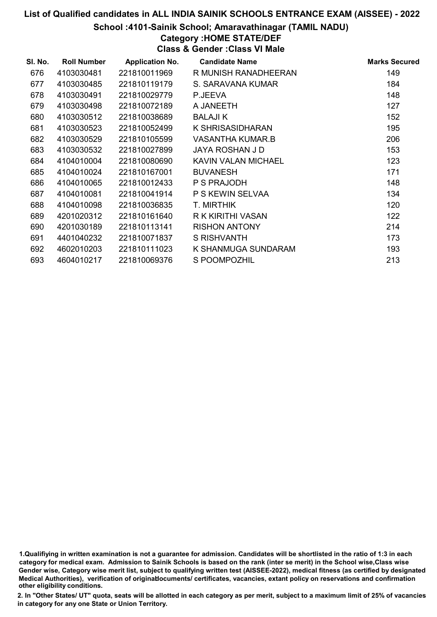#### School :4101-Sainik School; Amaravathinagar (TAMIL NADU)

## Category :HOME STATE/DEF

Class & Gender :Class VI Male

| SI. No. | <b>Roll Number</b> | <b>Application No.</b> | <b>Candidate Name</b> | <b>Marks Secured</b> |
|---------|--------------------|------------------------|-----------------------|----------------------|
| 676     | 4103030481         | 221810011969           | R MUNISH RANADHEERAN  | 149                  |
| 677     | 4103030485         | 221810119179           | S. SARAVANA KUMAR     | 184                  |
| 678     | 4103030491         | 221810029779           | P.JEEVA               | 148                  |
| 679     | 4103030498         | 221810072189           | A JANEETH             | 127                  |
| 680     | 4103030512         | 221810038689           | <b>BALAJIK</b>        | 152                  |
| 681     | 4103030523         | 221810052499           | K SHRISASIDHARAN      | 195                  |
| 682     | 4103030529         | 221810105599           | VASANTHA KUMAR.B      | 206                  |
| 683     | 4103030532         | 221810027899           | JAYA ROSHAN J D       | 153                  |
| 684     | 4104010004         | 221810080690           | KAVIN VALAN MICHAEL   | 123                  |
| 685     | 4104010024         | 221810167001           | <b>BUVANESH</b>       | 171                  |
| 686     | 4104010065         | 221810012433           | P S PRAJODH           | 148                  |
| 687     | 4104010081         | 221810041914           | P S KEWIN SELVAA      | 134                  |
| 688     | 4104010098         | 221810036835           | T. MIRTHIK            | 120                  |
| 689     | 4201020312         | 221810161640           | R K KIRITHI VASAN     | 122                  |
| 690     | 4201030189         | 221810113141           | <b>RISHON ANTONY</b>  | 214                  |
| 691     | 4401040232         | 221810071837           | <b>S RISHVANTH</b>    | 173                  |
| 692     | 4602010203         | 221810111023           | K SHANMUGA SUNDARAM   | 193                  |
| 693     | 4604010217         | 221810069376           | S POOMPOZHIL          | 213                  |

1.Qualifiying in written examination is not a guarantee for admission. Candidates will be shortlisted in the ratio of 1:3 in each category for medical exam. Admission to Sainik Schools is based on the rank (inter se merit) in the School wise,Class wise Gender wise, Category wise merit list, subject to qualifying written test (AISSEE-2022), medical fitness (as certified by designated Medical Authorities), verification of originablocuments/ certificates, vacancies, extant policy on reservations and confirmation other eligibility conditions.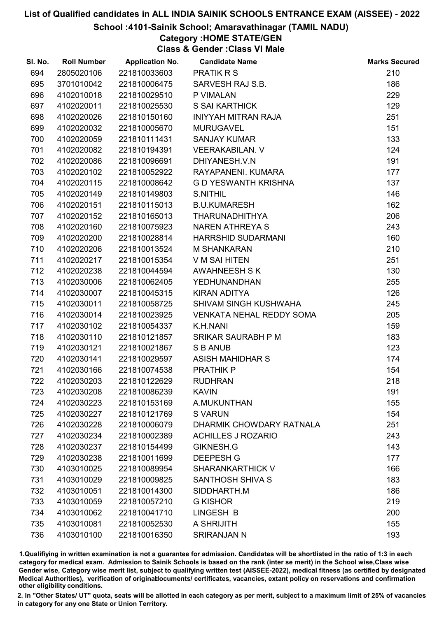#### School :4101-Sainik School; Amaravathinagar (TAMIL NADU)

# Category :HOME STATE/GEN

Class & Gender :Class VI Male

| SI. No. | <b>Roll Number</b> | <b>Application No.</b> | <b>Candidate Name</b>           | <b>Marks Secured</b> |
|---------|--------------------|------------------------|---------------------------------|----------------------|
| 694     | 2805020106         | 221810033603           | <b>PRATIK R S</b>               | 210                  |
| 695     | 3701010042         | 221810006475           | SARVESH RAJ S.B.                | 186                  |
| 696     | 4102010018         | 221810029510           | P VIMALAN                       | 229                  |
| 697     | 4102020011         | 221810025530           | <b>S SAI KARTHICK</b>           | 129                  |
| 698     | 4102020026         | 221810150160           | INIYYAH MITRAN RAJA             | 251                  |
| 699     | 4102020032         | 221810005670           | <b>MURUGAVEL</b>                | 151                  |
| 700     | 4102020059         | 221810111431           | <b>SANJAY KUMAR</b>             | 133                  |
| 701     | 4102020082         | 221810194391           | <b>VEERAKABILAN. V</b>          | 124                  |
| 702     | 4102020086         | 221810096691           | DHIYANESH.V.N                   | 191                  |
| 703     | 4102020102         | 221810052922           | RAYAPANENI. KUMARA              | 177                  |
| 704     | 4102020115         | 221810008642           | <b>G D YESWANTH KRISHNA</b>     | 137                  |
| 705     | 4102020149         | 221810149803           | <b>S.NITHIL</b>                 | 146                  |
| 706     | 4102020151         | 221810115013           | <b>B.U.KUMARESH</b>             | 162                  |
| 707     | 4102020152         | 221810165013           | THARUNADHITHYA                  | 206                  |
| 708     | 4102020160         | 221810075923           | <b>NAREN ATHREYA S</b>          | 243                  |
| 709     | 4102020200         | 221810028814           | HARRSHID SUDARMANI              | 160                  |
| 710     | 4102020206         | 221810013524           | <b>M SHANKARAN</b>              | 210                  |
| 711     | 4102020217         | 221810015354           | V M SAI HITEN                   | 251                  |
| 712     | 4102020238         | 221810044594           | <b>AWAHNEESH S K</b>            | 130                  |
| 713     | 4102030006         | 221810062405           | <b>YEDHUNANDHAN</b>             | 255                  |
| 714     | 4102030007         | 221810045315           | <b>KIRAN ADITYA</b>             | 126                  |
| 715     | 4102030011         | 221810058725           | SHIVAM SINGH KUSHWAHA           | 245                  |
| 716     | 4102030014         | 221810023925           | <b>VENKATA NEHAL REDDY SOMA</b> | 205                  |
| 717     | 4102030102         | 221810054337           | K.H.NANI                        | 159                  |
| 718     | 4102030110         | 221810121857           | SRIKAR SAURABH P M              | 183                  |
| 719     | 4102030121         | 221810021867           | S B ANUB                        | 123                  |
| 720     | 4102030141         | 221810029597           | <b>ASISH MAHIDHAR S</b>         | 174                  |
| 721     | 4102030166         | 221810074538           | PRATHIK P                       | 154                  |
| 722     | 4102030203         | 221810122629           | <b>RUDHRAN</b>                  | 218                  |
| 723     | 4102030208         | 221810086239           | <b>KAVIN</b>                    | 191                  |
| 724     | 4102030223         | 221810153169           | A.MUKUNTHAN                     | 155                  |
| 725     | 4102030227         | 221810121769           | <b>SVARUN</b>                   | 154                  |
| 726     | 4102030228         | 221810006079           | DHARMIK CHOWDARY RATNALA        | 251                  |
| 727     | 4102030234         | 221810002389           | <b>ACHILLES J ROZARIO</b>       | 243                  |
| 728     | 4102030237         | 221810154499           | GIKNESH.G                       | 143                  |
| 729     | 4102030238         | 221810011699           | <b>DEEPESH G</b>                | 177                  |
| 730     | 4103010025         | 221810089954           | <b>SHARANKARTHICK V</b>         | 166                  |
| 731     | 4103010029         | 221810009825           | <b>SANTHOSH SHIVA S</b>         | 183                  |
| 732     | 4103010051         | 221810014300           | SIDDHARTH.M                     | 186                  |
| 733     | 4103010059         | 221810057210           | <b>G KISHOR</b>                 | 219                  |
| 734     | 4103010062         | 221810041710           | LINGESH B                       | 200                  |
| 735     | 4103010081         | 221810052530           | A SHRIJITH                      | 155                  |
| 736     | 4103010100         | 221810016350           | <b>SRIRANJAN N</b>              | 193                  |

1.Qualifiying in written examination is not a guarantee for admission. Candidates will be shortlisted in the ratio of 1:3 in each category for medical exam. Admission to Sainik Schools is based on the rank (inter se merit) in the School wise,Class wise Gender wise, Category wise merit list, subject to qualifying written test (AISSEE-2022), medical fitness (as certified by designated Medical Authorities), verification of originablocuments/ certificates, vacancies, extant policy on reservations and confirmation other eligibility conditions.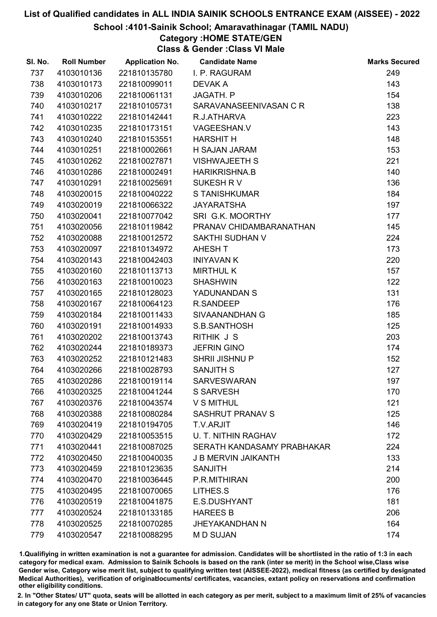#### School :4101-Sainik School; Amaravathinagar (TAMIL NADU)

# Category :HOME STATE/GEN

Class & Gender :Class VI Male

| SI. No. | <b>Roll Number</b> | <b>Application No.</b> | <b>Candidate Name</b>      | <b>Marks Secured</b> |
|---------|--------------------|------------------------|----------------------------|----------------------|
| 737     | 4103010136         | 221810135780           | I. P. RAGURAM              | 249                  |
| 738     | 4103010173         | 221810099011           | <b>DEVAKA</b>              | 143                  |
| 739     | 4103010206         | 221810061131           | JAGATH. P                  | 154                  |
| 740     | 4103010217         | 221810105731           | SARAVANASEENIVASAN C R     | 138                  |
| 741     | 4103010222         | 221810142441           | R.J.ATHARVA                | 223                  |
| 742     | 4103010235         | 221810173151           | VAGEESHAN.V                | 143                  |
| 743     | 4103010240         | 221810153551           | <b>HARSHIT H</b>           | 148                  |
| 744     | 4103010251         | 221810002661           | H SAJAN JARAM              | 153                  |
| 745     | 4103010262         | 221810027871           | <b>VISHWAJEETH S</b>       | 221                  |
| 746     | 4103010286         | 221810002491           | <b>HARIKRISHNA.B</b>       | 140                  |
| 747     | 4103010291         | 221810025691           | SUKESH R V                 | 136                  |
| 748     | 4103020015         | 221810040222           | S TANISHKUMAR              | 184                  |
| 749     | 4103020019         | 221810066322           | <b>JAYARATSHA</b>          | 197                  |
| 750     | 4103020041         | 221810077042           | SRI G.K. MOORTHY           | 177                  |
| 751     | 4103020056         | 221810119842           | PRANAV CHIDAMBARANATHAN    | 145                  |
| 752     | 4103020088         | 221810012572           | <b>SAKTHI SUDHAN V</b>     | 224                  |
| 753     | 4103020097         | 221810134972           | AHESH T                    | 173                  |
| 754     | 4103020143         | 221810042403           | <b>INIYAVAN K</b>          | 220                  |
| 755     | 4103020160         | 221810113713           | <b>MIRTHUL K</b>           | 157                  |
| 756     | 4103020163         | 221810010023           | <b>SHASHWIN</b>            | 122                  |
| 757     | 4103020165         | 221810128023           | YADUNANDAN S               | 131                  |
| 758     | 4103020167         | 221810064123           | R.SANDEEP                  | 176                  |
| 759     | 4103020184         | 221810011433           | SIVAANANDHAN G             | 185                  |
| 760     | 4103020191         | 221810014933           | S.B.SANTHOSH               | 125                  |
| 761     | 4103020202         | 221810013743           | RITHIK J S                 | 203                  |
| 762     | 4103020244         | 221810189373           | <b>JEFRIN GINO</b>         | 174                  |
| 763     | 4103020252         | 221810121483           | <b>SHRII JISHNU P</b>      | 152                  |
| 764     | 4103020266         | 221810028793           | SANJITH S                  | 127                  |
| 765     | 4103020286         | 221810019114           | <b>SARVESWARAN</b>         | 197                  |
| 766     | 4103020325         | 221810041244           | S SARVESH                  | 170                  |
| 767     | 4103020376         | 221810043574           | <b>V S MITHUL</b>          | 121                  |
| 768     | 4103020388         | 221810080284           | <b>SASHRUT PRANAV S</b>    | 125                  |
| 769     | 4103020419         | 221810194705           | T.V.ARJIT                  | 146                  |
| 770     | 4103020429         | 221810053515           | U. T. NITHIN RAGHAV        | 172                  |
| 771     | 4103020441         | 221810087025           | SERATH KANDASAMY PRABHAKAR | 224                  |
| 772     | 4103020450         | 221810040035           | <b>J B MERVIN JAIKANTH</b> | 133                  |
| 773     | 4103020459         | 221810123635           | <b>SANJITH</b>             | 214                  |
| 774     | 4103020470         | 221810036445           | P.R.MITHIRAN               | 200                  |
| 775     | 4103020495         | 221810070065           | LITHES.S                   | 176                  |
| 776     | 4103020519         | 221810041875           | E.S.DUSHYANT               | 181                  |
| 777     | 4103020524         | 221810133185           | <b>HAREES B</b>            | 206                  |
| 778     | 4103020525         | 221810070285           | <b>JHEYAKANDHAN N</b>      | 164                  |
| 779     | 4103020547         | 221810088295           | M D SUJAN                  | 174                  |

1.Qualifiying in written examination is not a guarantee for admission. Candidates will be shortlisted in the ratio of 1:3 in each category for medical exam. Admission to Sainik Schools is based on the rank (inter se merit) in the School wise,Class wise Gender wise, Category wise merit list, subject to qualifying written test (AISSEE-2022), medical fitness (as certified by designated Medical Authorities), verification of originablocuments/ certificates, vacancies, extant policy on reservations and confirmation other eligibility conditions.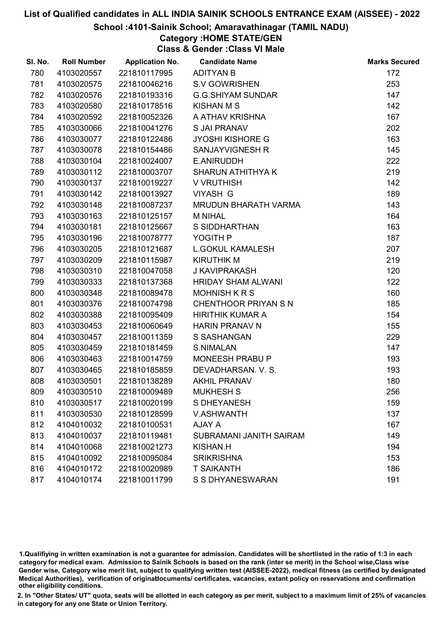#### School :4101-Sainik School; Amaravathinagar (TAMIL NADU)

Category :HOME STATE/GEN

Class & Gender :Class VI Male

| SI. No. | <b>Roll Number</b> | <b>Application No.</b> | <b>Candidate Name</b>       | <b>Marks Secured</b> |
|---------|--------------------|------------------------|-----------------------------|----------------------|
| 780     | 4103020557         | 221810117995           | <b>ADITYAN B</b>            | 172                  |
| 781     | 4103020575         | 221810046216           | <b>S.V GOWRISHEN</b>        | 253                  |
| 782     | 4103020576         | 221810193316           | <b>G.G.SHIYAM SUNDAR</b>    | 147                  |
| 783     | 4103020580         | 221810178516           | <b>KISHAN M S</b>           | 142                  |
| 784     | 4103020592         | 221810052326           | A ATHAV KRISHNA             | 167                  |
| 785     | 4103030066         | 221810041276           | <b>S JAI PRANAV</b>         | 202                  |
| 786     | 4103030077         | 221810122486           | <b>JYOSHI KISHORE G</b>     | 163                  |
| 787     | 4103030078         | 221810154486           | SANJAYVIGNESH R             | 145                  |
| 788     | 4103030104         | 221810024007           | E.ANIRUDDH                  | 222                  |
| 789     | 4103030112         | 221810003707           | <b>SHARUN ATHITHYA K</b>    | 219                  |
| 790     | 4103030137         | 221810019227           | V VRUTHISH                  | 142                  |
| 791     | 4103030142         | 221810013927           | <b>VIYASH G</b>             | 189                  |
| 792     | 4103030148         | 221810087237           | <b>MRUDUN BHARATH VARMA</b> | 143                  |
| 793     | 4103030163         | 221810125157           | <b>M NIHAL</b>              | 164                  |
| 794     | 4103030181         | 221810125667           | <b>S SIDDHARTHAN</b>        | 163                  |
| 795     | 4103030196         | 221810078777           | YOGITH P                    | 187                  |
| 796     | 4103030205         | 221810121687           | <b>L.GOKUL KAMALESH</b>     | 207                  |
| 797     | 4103030209         | 221810115987           | <b>KIRUTHIK M</b>           | 219                  |
| 798     | 4103030310         | 221810047058           | <b>J KAVIPRAKASH</b>        | 120                  |
| 799     | 4103030333         | 221810137368           | <b>HRIDAY SHAM ALWANI</b>   | 122                  |
| 800     | 4103030348         | 221810089478           | <b>MOHNISH K R S</b>        | 160                  |
| 801     | 4103030376         | 221810074798           | <b>CHENTHOOR PRIYAN S N</b> | 185                  |
| 802     | 4103030388         | 221810095409           | <b>HIRITHIK KUMAR A</b>     | 154                  |
| 803     | 4103030453         | 221810060649           | <b>HARIN PRANAV N</b>       | 155                  |
| 804     | 4103030457         | 221810011359           | S SASHANGAN                 | 229                  |
| 805     | 4103030459         | 221810181459           | <b>S.NIMALAN</b>            | 147                  |
| 806     | 4103030463         | 221810014759           | MONEESH PRABU P             | 193                  |
| 807     | 4103030465         | 221810185859           | DEVADHARSAN. V. S.          | 193                  |
| 808     | 4103030501         | 221810138289           | <b>AKHIL PRANAV</b>         | 180                  |
| 809     | 4103030510         | 221810009489           | <b>MUKHESH S</b>            | 256                  |
| 810     | 4103030517         | 221810020199           | <b>S DHEYANESH</b>          | 159                  |
| 811     | 4103030530         | 221810128599           | <b>V.ASHWANTH</b>           | 137                  |
| 812     | 4104010032         | 221810100531           | AJAY A                      | 167                  |
| 813     | 4104010037         | 221810119481           | SUBRAMANI JANITH SAIRAM     | 149                  |
| 814     | 4104010068         | 221810021273           | <b>KISHAN.H</b>             | 194                  |
| 815     | 4104010092         | 221810095084           | <b>SRIKRISHNA</b>           | 153                  |
| 816     | 4104010172         | 221810020989           | <b>T SAIKANTH</b>           | 186                  |
| 817     | 4104010174         | 221810011799           | S S DHYANESWARAN            | 191                  |

1.Qualifiying in written examination is not a guarantee for admission. Candidates will be shortlisted in the ratio of 1:3 in each category for medical exam. Admission to Sainik Schools is based on the rank (inter se merit) in the School wise,Class wise Gender wise, Category wise merit list, subject to qualifying written test (AISSEE-2022), medical fitness (as certified by designated Medical Authorities), verification of originablocuments/ certificates, vacancies, extant policy on reservations and confirmation other eligibility conditions.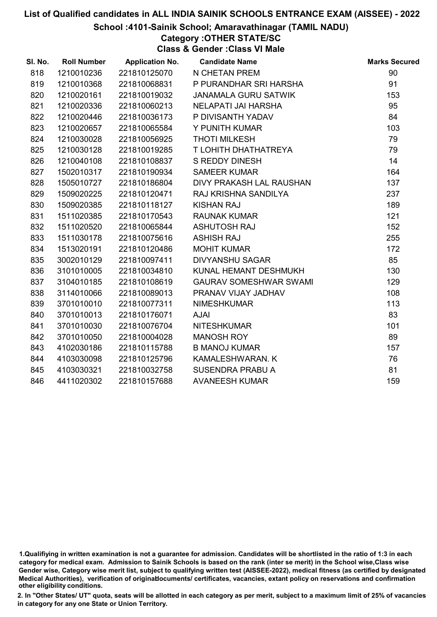#### School :4101-Sainik School; Amaravathinagar (TAMIL NADU)

Category :OTHER STATE/SC

Class & Gender :Class VI Male

| SI. No. | <b>Roll Number</b> | <b>Application No.</b> | <b>Candidate Name</b>         | <b>Marks Secured</b> |
|---------|--------------------|------------------------|-------------------------------|----------------------|
| 818     | 1210010236         | 221810125070           | N CHETAN PREM                 | 90                   |
| 819     | 1210010368         | 221810068831           | P PURANDHAR SRI HARSHA        | 91                   |
| 820     | 1210020161         | 221810019032           | <b>JANAMALA GURU SATWIK</b>   | 153                  |
| 821     | 1210020336         | 221810060213           | NELAPATI JAI HARSHA           | 95                   |
| 822     | 1210020446         | 221810036173           | P DIVISANTH YADAV             | 84                   |
| 823     | 1210020657         | 221810065584           | Y PUNITH KUMAR                | 103                  |
| 824     | 1210030028         | 221810056925           | <b>THOTI MILKESH</b>          | 79                   |
| 825     | 1210030128         | 221810019285           | T LOHITH DHATHATREYA          | 79                   |
| 826     | 1210040108         | 221810108837           | <b>S REDDY DINESH</b>         | 14                   |
| 827     | 1502010317         | 221810190934           | <b>SAMEER KUMAR</b>           | 164                  |
| 828     | 1505010727         | 221810186804           | DIVY PRAKASH LAL RAUSHAN      | 137                  |
| 829     | 1509020225         | 221810120471           | RAJ KRISHNA SANDILYA          | 237                  |
| 830     | 1509020385         | 221810118127           | <b>KISHAN RAJ</b>             | 189                  |
| 831     | 1511020385         | 221810170543           | <b>RAUNAK KUMAR</b>           | 121                  |
| 832     | 1511020520         | 221810065844           | <b>ASHUTOSH RAJ</b>           | 152                  |
| 833     | 1511030178         | 221810075616           | <b>ASHISH RAJ</b>             | 255                  |
| 834     | 1513020191         | 221810120486           | <b>MOHIT KUMAR</b>            | 172                  |
| 835     | 3002010129         | 221810097411           | <b>DIVYANSHU SAGAR</b>        | 85                   |
| 836     | 3101010005         | 221810034810           | KUNAL HEMANT DESHMUKH         | 130                  |
| 837     | 3104010185         | 221810108619           | <b>GAURAV SOMESHWAR SWAMI</b> | 129                  |
| 838     | 3114010066         | 221810089013           | PRANAV VIJAY JADHAV           | 108                  |
| 839     | 3701010010         | 221810077311           | <b>NIMESHKUMAR</b>            | 113                  |
| 840     | 3701010013         | 221810176071           | <b>AJAI</b>                   | 83                   |
| 841     | 3701010030         | 221810076704           | <b>NITESHKUMAR</b>            | 101                  |
| 842     | 3701010050         | 221810004028           | <b>MANOSH ROY</b>             | 89                   |
| 843     | 4102030186         | 221810115788           | <b>B MANOJ KUMAR</b>          | 157                  |
| 844     | 4103030098         | 221810125796           | KAMALESHWARAN. K              | 76                   |
| 845     | 4103030321         | 221810032758           | <b>SUSENDRA PRABU A</b>       | 81                   |
| 846     | 4411020302         | 221810157688           | <b>AVANEESH KUMAR</b>         | 159                  |

<sup>1.</sup>Qualifiying in written examination is not a guarantee for admission. Candidates will be shortlisted in the ratio of 1:3 in each category for medical exam. Admission to Sainik Schools is based on the rank (inter se merit) in the School wise,Class wise Gender wise, Category wise merit list, subject to qualifying written test (AISSEE-2022), medical fitness (as certified by designated Medical Authorities), verification of originablocuments/ certificates, vacancies, extant policy on reservations and confirmation other eligibility conditions.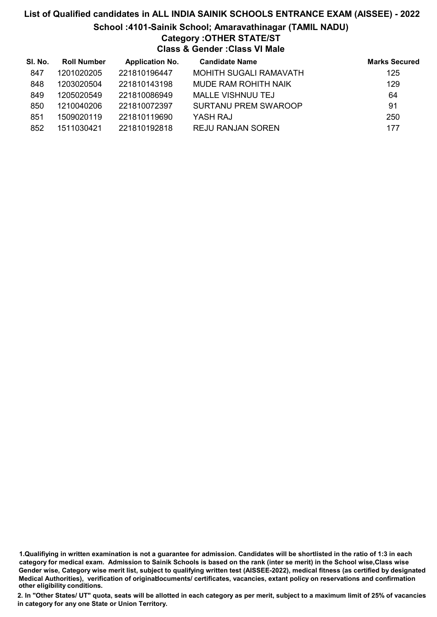## List of Qualified candidates in ALL INDIA SAINIK SCHOOLS ENTRANCE EXAM (AISSEE) - 2022 School :4101-Sainik School; Amaravathinagar (TAMIL NADU) Category :OTHER STATE/ST Class & Gender :Class VI Male

| SI. No. | <b>Roll Number</b> | <b>Application No.</b> | <b>Candidate Name</b>         | <b>Marks Secured</b> |
|---------|--------------------|------------------------|-------------------------------|----------------------|
| 847     | 1201020205         | 221810196447           | <b>MOHITH SUGALI RAMAVATH</b> | 125                  |
| 848     | 1203020504         | 221810143198           | MUDE RAM ROHITH NAIK          | 129                  |
| 849     | 1205020549         | 221810086949           | <b>MALLE VISHNUU TEJ</b>      | 64                   |
| 850     | 1210040206         | 221810072397           | <b>SURTANU PREM SWAROOP</b>   | 91                   |
| 851     | 1509020119         | 221810119690           | YASH RAJ                      | 250                  |
| 852     | 1511030421         | 221810192818           | <b>REJU RANJAN SOREN</b>      | 177                  |

1.Qualifiying in written examination is not a guarantee for admission. Candidates will be shortlisted in the ratio of 1:3 in each category for medical exam. Admission to Sainik Schools is based on the rank (inter se merit) in the School wise,Class wise Gender wise, Category wise merit list, subject to qualifying written test (AISSEE-2022), medical fitness (as certified by designated Medical Authorities), verification of originablocuments/ certificates, vacancies, extant policy on reservations and confirmation other eligibility conditions.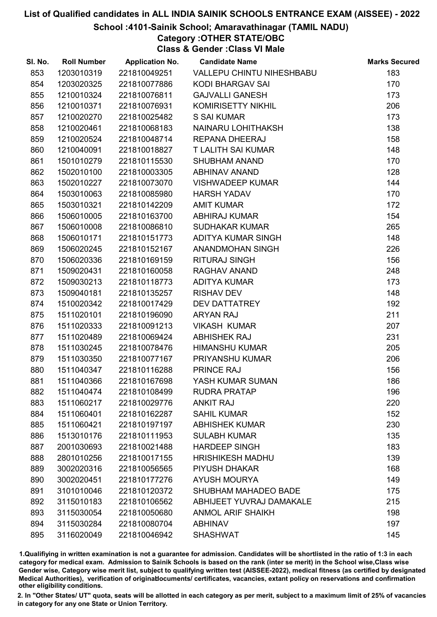#### School :4101-Sainik School; Amaravathinagar (TAMIL NADU)

Category :OTHER STATE/OBC

Class & Gender :Class VI Male

| SI. No. | <b>Roll Number</b> | <b>Application No.</b> | <b>Candidate Name</b>     | <b>Marks Secured</b> |
|---------|--------------------|------------------------|---------------------------|----------------------|
| 853     | 1203010319         | 221810049251           | VALLEPU CHINTU NIHESHBABU | 183                  |
| 854     | 1203020325         | 221810077886           | <b>KODI BHARGAV SAI</b>   | 170                  |
| 855     | 1210010324         | 221810076811           | <b>GAJVALLI GANESH</b>    | 173                  |
| 856     | 1210010371         | 221810076931           | KOMIRISETTY NIKHIL        | 206                  |
| 857     | 1210020270         | 221810025482           | S SAI KUMAR               | 173                  |
| 858     | 1210020461         | 221810068183           | NAINARU LOHITHAKSH        | 138                  |
| 859     | 1210020524         | 221810048714           | <b>REPANA DHEERAJ</b>     | 158                  |
| 860     | 1210040091         | 221810018827           | <b>T LALITH SAI KUMAR</b> | 148                  |
| 861     | 1501010279         | 221810115530           | <b>SHUBHAM ANAND</b>      | 170                  |
| 862     | 1502010100         | 221810003305           | <b>ABHINAV ANAND</b>      | 128                  |
| 863     | 1502010227         | 221810073070           | <b>VISHWADEEP KUMAR</b>   | 144                  |
| 864     | 1503010063         | 221810085980           | <b>HARSH YADAV</b>        | 170                  |
| 865     | 1503010321         | 221810142209           | <b>AMIT KUMAR</b>         | 172                  |
| 866     | 1506010005         | 221810163700           | <b>ABHIRAJ KUMAR</b>      | 154                  |
| 867     | 1506010008         | 221810086810           | <b>SUDHAKAR KUMAR</b>     | 265                  |
| 868     | 1506010171         | 221810151773           | ADITYA KUMAR SINGH        | 148                  |
| 869     | 1506020245         | 221810152167           | ANANDMOHAN SINGH          | 226                  |
| 870     | 1506020336         | 221810169159           | <b>RITURAJ SINGH</b>      | 156                  |
| 871     | 1509020431         | 221810160058           | RAGHAV ANAND              | 248                  |
| 872     | 1509030213         | 221810118773           | <b>ADITYA KUMAR</b>       | 173                  |
| 873     | 1509040181         | 221810135257           | <b>RISHAV DEV</b>         | 148                  |
| 874     | 1510020342         | 221810017429           | <b>DEV DATTATREY</b>      | 192                  |
| 875     | 1511020101         | 221810196090           | <b>ARYAN RAJ</b>          | 211                  |
| 876     | 1511020333         | 221810091213           | <b>VIKASH KUMAR</b>       | 207                  |
| 877     | 1511020489         | 221810069424           | <b>ABHISHEK RAJ</b>       | 231                  |
| 878     | 1511030245         | 221810078476           | <b>HIMANSHU KUMAR</b>     | 205                  |
| 879     | 1511030350         | 221810077167           | PRIYANSHU KUMAR           | 206                  |
| 880     | 1511040347         | 221810116288           | PRINCE RAJ                | 156                  |
| 881     | 1511040366         | 221810167698           | YASH KUMAR SUMAN          | 186                  |
| 882     | 1511040474         | 221810108499           | <b>RUDRA PRATAP</b>       | 196                  |
| 883     | 1511060217         | 221810029776           | <b>ANKIT RAJ</b>          | 220                  |
| 884     | 1511060401         | 221810162287           | <b>SAHIL KUMAR</b>        | 152                  |
| 885     | 1511060421         | 221810197197           | <b>ABHISHEK KUMAR</b>     | 230                  |
| 886     | 1513010176         | 221810111953           | <b>SULABH KUMAR</b>       | 135                  |
| 887     | 2001030693         | 221810021488           | <b>HARDEEP SINGH</b>      | 183                  |
| 888     | 2801010256         | 221810017155           | <b>HRISHIKESH MADHU</b>   | 139                  |
| 889     | 3002020316         | 221810056565           | PIYUSH DHAKAR             | 168                  |
| 890     | 3002020451         | 221810177276           | <b>AYUSH MOURYA</b>       | 149                  |
| 891     | 3101010046         | 221810120372           | SHUBHAM MAHADEO BADE      | 175                  |
| 892     | 3115010183         | 221810106562           | ABHIJEET YUVRAJ DAMAKALE  | 215                  |
| 893     | 3115030054         | 221810050680           | <b>ANMOL ARIF SHAIKH</b>  | 198                  |
| 894     | 3115030284         | 221810080704           | <b>ABHINAV</b>            | 197                  |
| 895     | 3116020049         | 221810046942           | <b>SHASHWAT</b>           | 145                  |

1.Qualifiying in written examination is not a guarantee for admission. Candidates will be shortlisted in the ratio of 1:3 in each category for medical exam. Admission to Sainik Schools is based on the rank (inter se merit) in the School wise,Class wise Gender wise, Category wise merit list, subject to qualifying written test (AISSEE-2022), medical fitness (as certified by designated Medical Authorities), verification of originablocuments/ certificates, vacancies, extant policy on reservations and confirmation other eligibility conditions.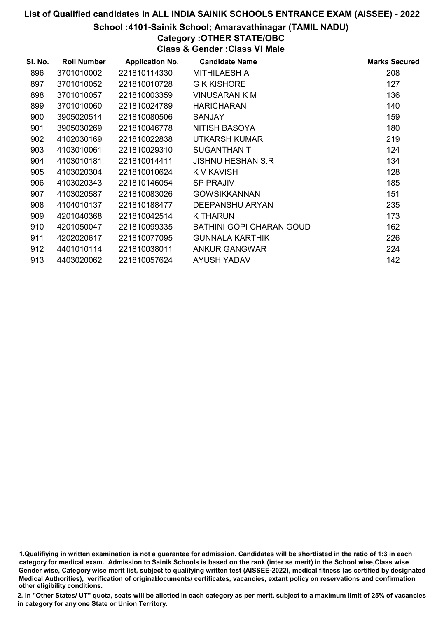#### School :4101-Sainik School; Amaravathinagar (TAMIL NADU)

### Category :OTHER STATE/OBC

Class & Gender :Class VI Male

| SI. No. | <b>Roll Number</b> | <b>Application No.</b> | <b>Candidate Name</b>           | <b>Marks Secured</b> |
|---------|--------------------|------------------------|---------------------------------|----------------------|
| 896     | 3701010002         | 221810114330           | MITHILAESH A                    | 208                  |
| 897     | 3701010052         | 221810010728           | G K KISHORE                     | 127                  |
| 898     | 3701010057         | 221810003359           | <b>VINUSARAN K M</b>            | 136                  |
| 899     | 3701010060         | 221810024789           | <b>HARICHARAN</b>               | 140                  |
| 900     | 3905020514         | 221810080506           | <b>SANJAY</b>                   | 159                  |
| 901     | 3905030269         | 221810046778           | NITISH BASOYA                   | 180                  |
| 902     | 4102030169         | 221810022838           | UTKARSH KUMAR                   | 219                  |
| 903     | 4103010061         | 221810029310           | <b>SUGANTHAN T</b>              | 124                  |
| 904     | 4103010181         | 221810014411           | <b>JISHNU HESHAN S.R</b>        | 134                  |
| 905     | 4103020304         | 221810010624           | K V KAVISH                      | 128                  |
| 906     | 4103020343         | 221810146054           | <b>SP PRAJIV</b>                | 185                  |
| 907     | 4103020587         | 221810083026           | <b>GOWSIKKANNAN</b>             | 151                  |
| 908     | 4104010137         | 221810188477           | DEEPANSHU ARYAN                 | 235                  |
| 909     | 4201040368         | 221810042514           | <b>K THARUN</b>                 | 173                  |
| 910     | 4201050047         | 221810099335           | <b>BATHINI GOPI CHARAN GOUD</b> | 162                  |
| 911     | 4202020617         | 221810077095           | <b>GUNNALA KARTHIK</b>          | 226                  |
| 912     | 4401010114         | 221810038011           | <b>ANKUR GANGWAR</b>            | 224                  |
| 913     | 4403020062         | 221810057624           | <b>AYUSH YADAV</b>              | 142                  |

1.Qualifiying in written examination is not a guarantee for admission. Candidates will be shortlisted in the ratio of 1:3 in each category for medical exam. Admission to Sainik Schools is based on the rank (inter se merit) in the School wise,Class wise Gender wise, Category wise merit list, subject to qualifying written test (AISSEE-2022), medical fitness (as certified by designated Medical Authorities), verification of originablocuments/ certificates, vacancies, extant policy on reservations and confirmation other eligibility conditions.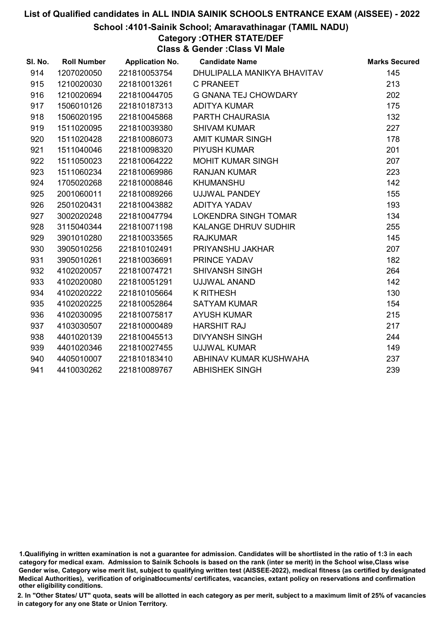#### School :4101-Sainik School; Amaravathinagar (TAMIL NADU)

Category :OTHER STATE/DEF

Class & Gender :Class VI Male

| SI. No. | <b>Roll Number</b> | <b>Application No.</b> | <b>Candidate Name</b>       | <b>Marks Secured</b> |
|---------|--------------------|------------------------|-----------------------------|----------------------|
| 914     | 1207020050         | 221810053754           | DHULIPALLA MANIKYA BHAVITAV | 145                  |
| 915     | 1210020030         | 221810013261           | <b>C PRANEET</b>            | 213                  |
| 916     | 1210020694         | 221810044705           | <b>G GNANA TEJ CHOWDARY</b> | 202                  |
| 917     | 1506010126         | 221810187313           | <b>ADITYA KUMAR</b>         | 175                  |
| 918     | 1506020195         | 221810045868           | PARTH CHAURASIA             | 132                  |
| 919     | 1511020095         | 221810039380           | <b>SHIVAM KUMAR</b>         | 227                  |
| 920     | 1511020428         | 221810086073           | <b>AMIT KUMAR SINGH</b>     | 178                  |
| 921     | 1511040046         | 221810098320           | <b>PIYUSH KUMAR</b>         | 201                  |
| 922     | 1511050023         | 221810064222           | <b>MOHIT KUMAR SINGH</b>    | 207                  |
| 923     | 1511060234         | 221810069986           | <b>RANJAN KUMAR</b>         | 223                  |
| 924     | 1705020268         | 221810008846           | <b>KHUMANSHU</b>            | 142                  |
| 925     | 2001060011         | 221810089266           | UJJWAL PANDEY               | 155                  |
| 926     | 2501020431         | 221810043882           | ADITYA YADAV                | 193                  |
| 927     | 3002020248         | 221810047794           | <b>LOKENDRA SINGH TOMAR</b> | 134                  |
| 928     | 3115040344         | 221810071198           | <b>KALANGE DHRUV SUDHIR</b> | 255                  |
| 929     | 3901010280         | 221810033565           | <b>RAJKUMAR</b>             | 145                  |
| 930     | 3905010256         | 221810102491           | PRIYANSHU JAKHAR            | 207                  |
| 931     | 3905010261         | 221810036691           | PRINCE YADAV                | 182                  |
| 932     | 4102020057         | 221810074721           | <b>SHIVANSH SINGH</b>       | 264                  |
| 933     | 4102020080         | 221810051291           | UJJWAL ANAND                | 142                  |
| 934     | 4102020222         | 221810105664           | <b>K RITHESH</b>            | 130                  |
| 935     | 4102020225         | 221810052864           | <b>SATYAM KUMAR</b>         | 154                  |
| 936     | 4102030095         | 221810075817           | <b>AYUSH KUMAR</b>          | 215                  |
| 937     | 4103030507         | 221810000489           | <b>HARSHIT RAJ</b>          | 217                  |
| 938     | 4401020139         | 221810045513           | <b>DIVYANSH SINGH</b>       | 244                  |
| 939     | 4401020346         | 221810027455           | <b>UJJWAL KUMAR</b>         | 149                  |
| 940     | 4405010007         | 221810183410           | ABHINAV KUMAR KUSHWAHA      | 237                  |
| 941     | 4410030262         | 221810089767           | <b>ABHISHEK SINGH</b>       | 239                  |

<sup>1.</sup>Qualifiying in written examination is not a guarantee for admission. Candidates will be shortlisted in the ratio of 1:3 in each category for medical exam. Admission to Sainik Schools is based on the rank (inter se merit) in the School wise,Class wise Gender wise, Category wise merit list, subject to qualifying written test (AISSEE-2022), medical fitness (as certified by designated Medical Authorities), verification of originablocuments/ certificates, vacancies, extant policy on reservations and confirmation other eligibility conditions.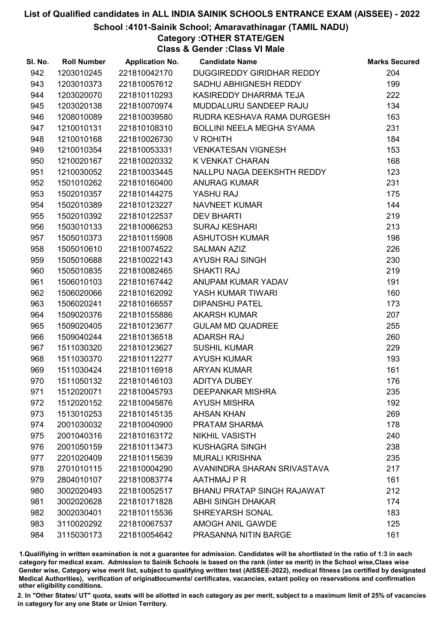#### School :4101-Sainik School; Amaravathinagar (TAMIL NADU)

Category :OTHER STATE/GEN

Class & Gender :Class VI Male

| SI. No. | <b>Roll Number</b> | <b>Application No.</b> | <b>Candidate Name</b>             | <b>Marks Secured</b> |
|---------|--------------------|------------------------|-----------------------------------|----------------------|
| 942     | 1203010245         | 221810042170           | DUGGIREDDY GIRIDHAR REDDY         | 204                  |
| 943     | 1203010373         | 221810057612           | SADHU ABHIGNESH REDDY             | 199                  |
| 944     | 1203020070         | 221810110293           | KASIREDDY DHARRMA TEJA            | 222                  |
| 945     | 1203020138         | 221810070974           | MUDDALURU SANDEEP RAJU            | 134                  |
| 946     | 1208010089         | 221810039580           | RUDRA KESHAVA RAMA DURGESH        | 163                  |
| 947     | 1210010131         | 221810108310           | <b>BOLLINI NEELA MEGHA SYAMA</b>  | 231                  |
| 948     | 1210010168         | 221810026730           | V ROHITH                          | 184                  |
| 949     | 1210010354         | 221810053331           | <b>VENKATESAN VIGNESH</b>         | 153                  |
| 950     | 1210020167         | 221810020332           | K VENKAT CHARAN                   | 168                  |
| 951     | 1210030052         | 221810033445           | NALLPU NAGA DEEKSHTH REDDY        | 123                  |
| 952     | 1501010262         | 221810160400           | <b>ANURAG KUMAR</b>               | 231                  |
| 953     | 1502010357         | 221810144275           | YASHU RAJ                         | 175                  |
| 954     | 1502010389         | 221810123227           | NAVNEET KUMAR                     | 144                  |
| 955     | 1502010392         | 221810122537           | <b>DEV BHARTI</b>                 | 219                  |
| 956     | 1503010133         | 221810066253           | <b>SURAJ KESHARI</b>              | 213                  |
| 957     | 1505010373         | 221810115908           | <b>ASHUTOSH KUMAR</b>             | 198                  |
| 958     | 1505010610         | 221810074522           | <b>SALMAN AZIZ</b>                | 226                  |
| 959     | 1505010688         | 221810022143           | <b>AYUSH RAJ SINGH</b>            | 230                  |
| 960     | 1505010835         | 221810082465           | <b>SHAKTI RAJ</b>                 | 219                  |
| 961     | 1506010103         | 221810167442           | ANUPAM KUMAR YADAV                | 191                  |
| 962     | 1506020066         | 221810162092           | YASH KUMAR TIWARI                 | 160                  |
| 963     | 1506020241         | 221810166557           | <b>DIPANSHU PATEL</b>             | 173                  |
| 964     | 1509020376         | 221810155886           | <b>AKARSH KUMAR</b>               | 207                  |
| 965     | 1509020405         | 221810123677           | <b>GULAM MD QUADREE</b>           | 255                  |
| 966     | 1509040244         | 221810136518           | <b>ADARSH RAJ</b>                 | 260                  |
| 967     | 1511030320         | 221810123627           | <b>SUSHIL KUMAR</b>               | 229                  |
| 968     | 1511030370         | 221810112277           | <b>AYUSH KUMAR</b>                | 193                  |
| 969     | 1511030424         | 221810116918           | <b>ARYAN KUMAR</b>                | 161                  |
| 970     | 1511050132         | 221810146103           | <b>ADITYA DUBEY</b>               | 176                  |
| 971     | 1512020071         | 221810045793           | <b>DEEPANKAR MISHRA</b>           | 235                  |
| 972     | 1512020152         | 221810045876           | <b>AYUSH MISHRA</b>               | 192                  |
| 973     | 1513010253         | 221810145135           | <b>AHSAN KHAN</b>                 | 269                  |
| 974     | 2001030032         | 221810040900           | PRATAM SHARMA                     | 178                  |
| 975     | 2001040316         | 221810163172           | <b>NIKHIL VASISTH</b>             | 240                  |
| 976     | 2001050159         | 221810113473           | <b>KUSHAGRA SINGH</b>             | 238                  |
| 977     | 2201020409         | 221810115639           | <b>MURALI KRISHNA</b>             | 235                  |
| 978     | 2701010115         | 221810004290           | AVANINDRA SHARAN SRIVASTAVA       | 217                  |
| 979     | 2804010107         | 221810083774           | AATHMAJ P R                       | 161                  |
| 980     | 3002020493         | 221810052517           | <b>BHANU PRATAP SINGH RAJAWAT</b> | 212                  |
| 981     | 3002020628         | 221810171828           | <b>ABHI SINGH DHAKAR</b>          | 174                  |
| 982     | 3002030401         | 221810115536           | SHREYARSH SONAL                   | 183                  |
| 983     | 3110020292         | 221810067537           | AMOGH ANIL GAWDE                  | 125                  |
| 984     | 3115030173         | 221810054642           | PRASANNA NITIN BARGE              | 161                  |

1.Qualifiying in written examination is not a guarantee for admission. Candidates will be shortlisted in the ratio of 1:3 in each category for medical exam. Admission to Sainik Schools is based on the rank (inter se merit) in the School wise,Class wise Gender wise, Category wise merit list, subject to qualifying written test (AISSEE-2022), medical fitness (as certified by designated Medical Authorities), verification of originablocuments/ certificates, vacancies, extant policy on reservations and confirmation other eligibility conditions.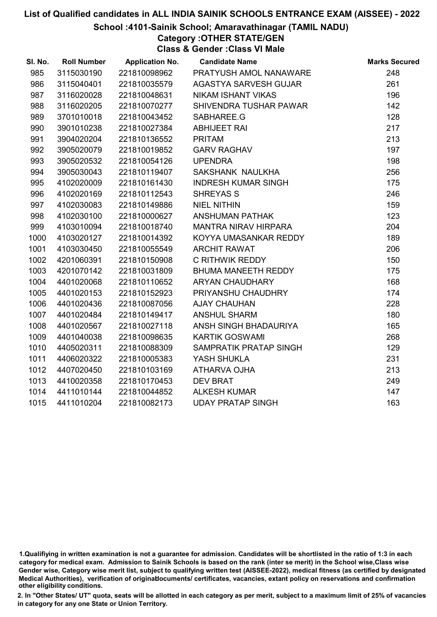#### School :4101-Sainik School; Amaravathinagar (TAMIL NADU)

Category :OTHER STATE/GEN

Class & Gender :Class VI Male

| SI. No. | <b>Roll Number</b> | <b>Application No.</b> | <b>Candidate Name</b>       | <b>Marks Secured</b> |
|---------|--------------------|------------------------|-----------------------------|----------------------|
| 985     | 3115030190         | 221810098962           | PRATYUSH AMOL NANAWARE      | 248                  |
| 986     | 3115040401         | 221810035579           | AGASTYA SARVESH GUJAR       | 261                  |
| 987     | 3116020028         | 221810048631           | <b>NIKAM ISHANT VIKAS</b>   | 196                  |
| 988     | 3116020205         | 221810070277           | SHIVENDRA TUSHAR PAWAR      | 142                  |
| 989     | 3701010018         | 221810043452           | SABHAREE.G                  | 128                  |
| 990     | 3901010238         | 221810027384           | <b>ABHIJEET RAI</b>         | 217                  |
| 991     | 3904020204         | 221810136552           | <b>PRITAM</b>               | 213                  |
| 992     | 3905020079         | 221810019852           | <b>GARV RAGHAV</b>          | 197                  |
| 993     | 3905020532         | 221810054126           | <b>UPENDRA</b>              | 198                  |
| 994     | 3905030043         | 221810119407           | SAKSHANK NAULKHA            | 256                  |
| 995     | 4102020009         | 221810161430           | <b>INDRESH KUMAR SINGH</b>  | 175                  |
| 996     | 4102020169         | 221810112543           | <b>SHREYAS S</b>            | 246                  |
| 997     | 4102030083         | 221810149886           | <b>NIEL NITHIN</b>          | 159                  |
| 998     | 4102030100         | 221810000627           | <b>ANSHUMAN PATHAK</b>      | 123                  |
| 999     | 4103010094         | 221810018740           | <b>MANTRA NIRAV HIRPARA</b> | 204                  |
| 1000    | 4103020127         | 221810014392           | KOYYA UMASANKAR REDDY       | 189                  |
| 1001    | 4103030450         | 221810055549           | <b>ARCHIT RAWAT</b>         | 206                  |
| 1002    | 4201060391         | 221810150908           | C RITHWIK REDDY             | 150                  |
| 1003    | 4201070142         | 221810031809           | BHUMA MANEETH REDDY         | 175                  |
| 1004    | 4401020068         | 221810110652           | <b>ARYAN CHAUDHARY</b>      | 168                  |
| 1005    | 4401020153         | 221810152923           | PRIYANSHU CHAUDHRY          | 174                  |
| 1006    | 4401020436         | 221810087056           | <b>AJAY CHAUHAN</b>         | 228                  |
| 1007    | 4401020484         | 221810149417           | <b>ANSHUL SHARM</b>         | 180                  |
| 1008    | 4401020567         | 221810027118           | ANSH SINGH BHADAURIYA       | 165                  |
| 1009    | 4401040038         | 221810098635           | <b>KARTIK GOSWAMI</b>       | 268                  |
| 1010    | 4405020311         | 221810088309           | SAMPRATIK PRATAP SINGH      | 129                  |
| 1011    | 4406020322         | 221810005383           | YASH SHUKLA                 | 231                  |
| 1012    | 4407020450         | 221810103169           | ATHARVA OJHA                | 213                  |
| 1013    | 4410020358         | 221810170453           | <b>DEV BRAT</b>             | 249                  |
| 1014    | 4411010144         | 221810044852           | <b>ALKESH KUMAR</b>         | 147                  |
| 1015    | 4411010204         | 221810082173           | <b>UDAY PRATAP SINGH</b>    | 163                  |

<sup>1.</sup>Qualifiying in written examination is not a guarantee for admission. Candidates will be shortlisted in the ratio of 1:3 in each category for medical exam. Admission to Sainik Schools is based on the rank (inter se merit) in the School wise,Class wise Gender wise, Category wise merit list, subject to qualifying written test (AISSEE-2022), medical fitness (as certified by designated Medical Authorities), verification of originablocuments/ certificates, vacancies, extant policy on reservations and confirmation other eligibility conditions.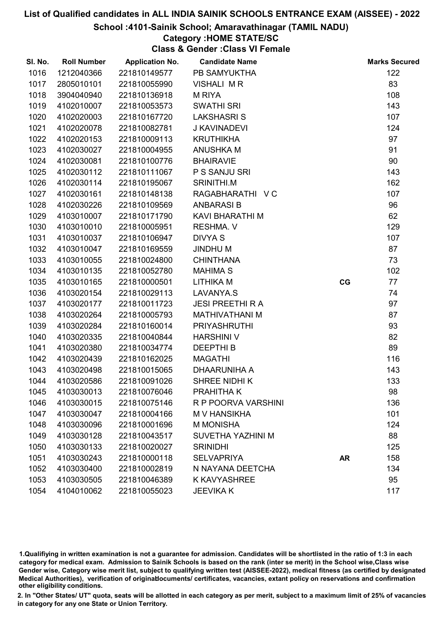#### School :4101-Sainik School; Amaravathinagar (TAMIL NADU)

### Category :HOME STATE/SC

Class & Gender :Class VI Female

| SI. No. | <b>Roll Number</b> | <b>Application No.</b> | <b>Candidate Name</b>   |           | <b>Marks Secured</b> |
|---------|--------------------|------------------------|-------------------------|-----------|----------------------|
| 1016    | 1212040366         | 221810149577           | PB SAMYUKTHA            |           | 122                  |
| 1017    | 2805010101         | 221810055990           | <b>VISHALI MR</b>       |           | 83                   |
| 1018    | 3904040940         | 221810136918           | <b>M RIYA</b>           |           | 108                  |
| 1019    | 4102010007         | 221810053573           | <b>SWATHI SRI</b>       |           | 143                  |
| 1020    | 4102020003         | 221810167720           | <b>LAKSHASRIS</b>       |           | 107                  |
| 1021    | 4102020078         | 221810082781           | J KAVINADEVI            |           | 124                  |
| 1022    | 4102020153         | 221810009113           | <b>KRUTHIKHA</b>        |           | 97                   |
| 1023    | 4102030027         | 221810004955           | <b>ANUSHKA M</b>        |           | 91                   |
| 1024    | 4102030081         | 221810100776           | <b>BHAIRAVIE</b>        |           | 90                   |
| 1025    | 4102030112         | 221810111067           | P S SANJU SRI           |           | 143                  |
| 1026    | 4102030114         | 221810195067           | SRINITHI.M              |           | 162                  |
| 1027    | 4102030161         | 221810148138           | RAGABHARATHI V C        |           | 107                  |
| 1028    | 4102030226         | 221810109569           | <b>ANBARASIB</b>        |           | 96                   |
| 1029    | 4103010007         | 221810171790           | KAVI BHARATHI M         |           | 62                   |
| 1030    | 4103010010         | 221810005951           | <b>RESHMA. V</b>        |           | 129                  |
| 1031    | 4103010037         | 221810106947           | <b>DIVYA S</b>          |           | 107                  |
| 1032    | 4103010047         | 221810169559           | <b>JINDHUM</b>          |           | 87                   |
| 1033    | 4103010055         | 221810024800           | <b>CHINTHANA</b>        |           | 73                   |
| 1034    | 4103010135         | 221810052780           | <b>MAHIMA S</b>         |           | 102                  |
| 1035    | 4103010165         | 221810000501           | LITHIKA M               | CG        | 77                   |
| 1036    | 4103020154         | 221810029113           | LAVANYA.S               |           | 74                   |
| 1037    | 4103020177         | 221810011723           | <b>JESI PREETHI R A</b> |           | 97                   |
| 1038    | 4103020264         | 221810005793           | <b>MATHIVATHANI M</b>   |           | 87                   |
| 1039    | 4103020284         | 221810160014           | <b>PRIYASHRUTHI</b>     |           | 93                   |
| 1040    | 4103020335         | 221810040844           | <b>HARSHINI V</b>       |           | 82                   |
| 1041    | 4103020380         | 221810034774           | <b>DEEPTHIB</b>         |           | 89                   |
| 1042    | 4103020439         | 221810162025           | <b>MAGATHI</b>          |           | 116                  |
| 1043    | 4103020498         | 221810015065           | DHAARUNIHA A            |           | 143                  |
| 1044    | 4103020586         | 221810091026           | SHREE NIDHI K           |           | 133                  |
| 1045    | 4103030013         | 221810076046           | <b>PRAHITHAK</b>        |           | 98                   |
| 1046    | 4103030015         | 221810075146           | R P POORVA VARSHINI     |           | 136                  |
| 1047    | 4103030047         | 221810004166           | <b>MV HANSIKHA</b>      |           | 101                  |
| 1048    | 4103030096         | 221810001696           | <b>M MONISHA</b>        |           | 124                  |
| 1049    | 4103030128         | 221810043517           | SUVETHA YAZHINI M       |           | 88                   |
| 1050    | 4103030133         | 221810020027           | <b>SRINIDHI</b>         |           | 125                  |
| 1051    | 4103030243         | 221810000118           | <b>SELVAPRIYA</b>       | <b>AR</b> | 158                  |
| 1052    | 4103030400         | 221810002819           | N NAYANA DEETCHA        |           | 134                  |
| 1053    | 4103030505         | 221810046389           | <b>K KAVYASHREE</b>     |           | 95                   |
| 1054    | 4104010062         | 221810055023           | <b>JEEVIKA K</b>        |           | 117                  |

1.Qualifiying in written examination is not a guarantee for admission. Candidates will be shortlisted in the ratio of 1:3 in each category for medical exam. Admission to Sainik Schools is based on the rank (inter se merit) in the School wise,Class wise Gender wise, Category wise merit list, subject to qualifying written test (AISSEE-2022), medical fitness (as certified by designated Medical Authorities), verification of originablocuments/ certificates, vacancies, extant policy on reservations and confirmation other eligibility conditions.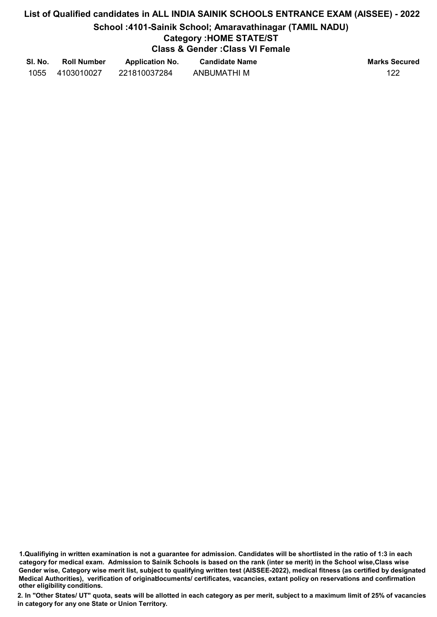School :4101-Sainik School; Amaravathinagar (TAMIL NADU)

### Category :HOME STATE/ST

Class & Gender :Class VI Female

| SI. No. | <b>Roll Number</b> | <b>Application No.</b> | <b>Candidate Name</b> | <b>Marks Secured</b> |
|---------|--------------------|------------------------|-----------------------|----------------------|
| 1055    | 4103010027         | 221810037284           | ANBUMATHI M           | 122                  |

1.Qualifiying in written examination is not a guarantee for admission. Candidates will be shortlisted in the ratio of 1:3 in each category for medical exam. Admission to Sainik Schools is based on the rank (inter se merit) in the School wise,Class wise Gender wise, Category wise merit list, subject to qualifying written test (AISSEE-2022), medical fitness (as certified by designated Medical Authorities), verification of originablocuments/ certificates, vacancies, extant policy on reservations and confirmation other eligibility conditions.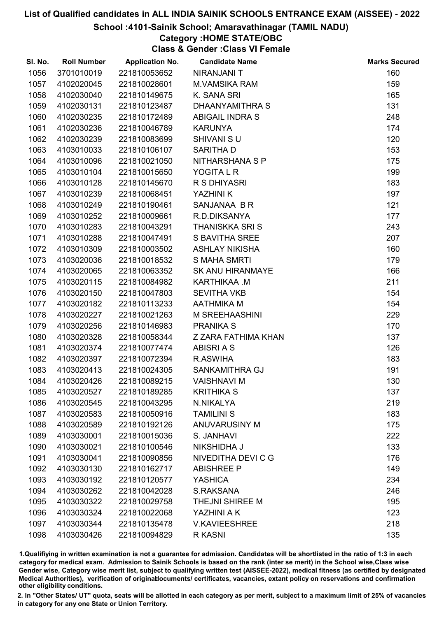#### School :4101-Sainik School; Amaravathinagar (TAMIL NADU)

### Category :HOME STATE/OBC

Class & Gender :Class VI Female

| SI. No. | <b>Roll Number</b> | <b>Application No.</b> | <b>Candidate Name</b>   | <b>Marks Secured</b> |
|---------|--------------------|------------------------|-------------------------|----------------------|
| 1056    | 3701010019         | 221810053652           | NIRANJANI T             | 160                  |
| 1057    | 4102020045         | 221810028601           | <b>M.VAMSIKA RAM</b>    | 159                  |
| 1058    | 4102030040         | 221810149675           | K. SANA SRI             | 165                  |
| 1059    | 4102030131         | 221810123487           | DHAANYAMITHRA S         | 131                  |
| 1060    | 4102030235         | 221810172489           | <b>ABIGAIL INDRA S</b>  | 248                  |
| 1061    | 4102030236         | 221810046789           | <b>KARUNYA</b>          | 174                  |
| 1062    | 4102030239         | 221810083699           | <b>SHIVANI SU</b>       | 120                  |
| 1063    | 4103010033         | 221810106107           | <b>SARITHAD</b>         | 153                  |
| 1064    | 4103010096         | 221810021050           | NITHARSHANA S P         | 175                  |
| 1065    | 4103010104         | 221810015650           | YOGITA L R              | 199                  |
| 1066    | 4103010128         | 221810145670           | R S DHIYASRI            | 183                  |
| 1067    | 4103010239         | 221810068451           | YAZHINI K               | 197                  |
| 1068    | 4103010249         | 221810190461           | SANJANAA BR             | 121                  |
| 1069    | 4103010252         | 221810009661           | R.D.DIKSANYA            | 177                  |
| 1070    | 4103010283         | 221810043291           | <b>THANISKKA SRIS</b>   | 243                  |
| 1071    | 4103010288         | 221810047491           | <b>S BAVITHA SREE</b>   | 207                  |
| 1072    | 4103010309         | 221810003502           | <b>ASHLAY NIKISHA</b>   | 160                  |
| 1073    | 4103020036         | 221810018532           | <b>S MAHA SMRTI</b>     | 179                  |
| 1074    | 4103020065         | 221810063352           | <b>SK ANU HIRANMAYE</b> | 166                  |
| 1075    | 4103020115         | 221810084982           | KARTHIKAA .M            | 211                  |
| 1076    | 4103020150         | 221810047803           | <b>SEVITHA VKB</b>      | 154                  |
| 1077    | 4103020182         | 221810113233           | <b>AATHMIKA M</b>       | 154                  |
| 1078    | 4103020227         | 221810021263           | <b>M SREEHAASHINI</b>   | 229                  |
| 1079    | 4103020256         | 221810146983           | <b>PRANIKA S</b>        | 170                  |
| 1080    | 4103020328         | 221810058344           | Z ZARA FATHIMA KHAN     | 137                  |
| 1081    | 4103020374         | 221810077474           | <b>ABISRIAS</b>         | 126                  |
| 1082    | 4103020397         | 221810072394           | R.ASWIHA                | 183                  |
| 1083    | 4103020413         | 221810024305           | SANKAMITHRA GJ          | 191                  |
| 1084    | 4103020426         | 221810089215           | <b>VAISHNAVI M</b>      | 130                  |
| 1085    | 4103020527         | 221810189285           | <b>KRITHIKA S</b>       | 137                  |
| 1086    | 4103020545         | 221810043295           | N.NIKALYA               | 219                  |
| 1087    | 4103020583         | 221810050916           | <b>TAMILINI S</b>       | 183                  |
| 1088    | 4103020589         | 221810192126           | <b>ANUVARUSINY M</b>    | 175                  |
| 1089    | 4103030001         | 221810015036           | S. JANHAVI              | 222                  |
| 1090    | 4103030021         | 221810100546           | <b>NIKSHIDHA J</b>      | 133                  |
| 1091    | 4103030041         | 221810090856           | NIVEDITHA DEVI C G      | 176                  |
| 1092    | 4103030130         | 221810162717           | <b>ABISHREE P</b>       | 149                  |
| 1093    | 4103030192         | 221810120577           | <b>YASHICA</b>          | 234                  |
| 1094    | 4103030262         | 221810042028           | <b>S.RAKSANA</b>        | 246                  |
| 1095    | 4103030322         | 221810029758           | THEJNI SHIREE M         | 195                  |
| 1096    | 4103030324         | 221810022068           | YAZHINI A K             | 123                  |
| 1097    | 4103030344         | 221810135478           | <b>V.KAVIEESHREE</b>    | 218                  |
| 1098    | 4103030426         | 221810094829           | R KASNI                 | 135                  |

1.Qualifiying in written examination is not a guarantee for admission. Candidates will be shortlisted in the ratio of 1:3 in each category for medical exam. Admission to Sainik Schools is based on the rank (inter se merit) in the School wise,Class wise Gender wise, Category wise merit list, subject to qualifying written test (AISSEE-2022), medical fitness (as certified by designated Medical Authorities), verification of originablocuments/ certificates, vacancies, extant policy on reservations and confirmation other eligibility conditions.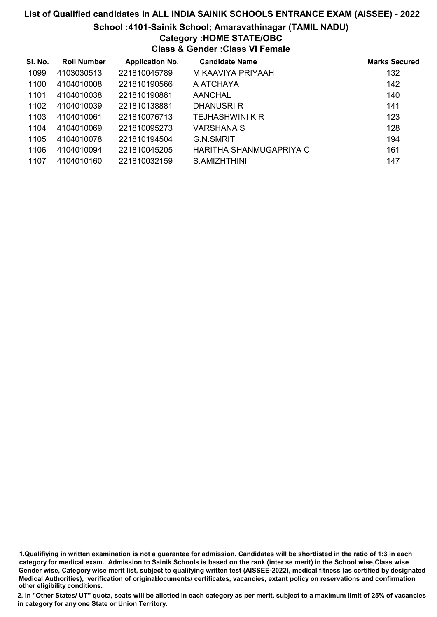#### School :4101-Sainik School; Amaravathinagar (TAMIL NADU)

## Category :HOME STATE/OBC

Class & Gender :Class VI Female

| SI. No. | <b>Roll Number</b> | <b>Application No.</b> | <b>Candidate Name</b>   | <b>Marks Secured</b> |
|---------|--------------------|------------------------|-------------------------|----------------------|
| 1099    | 4103030513         | 221810045789           | M KAAVIYA PRIYAAH       | 132                  |
| 1100    | 4104010008         | 221810190566           | A ATCHAYA               | 142                  |
| 1101    | 4104010038         | 221810190881           | AANCHAL                 | 140                  |
| 1102    | 4104010039         | 221810138881           | DHANUSRI R              | 141                  |
| 1103    | 4104010061         | 221810076713           | TEJHASHWINI K R         | 123                  |
| 1104    | 4104010069         | 221810095273           | VARSHANA S              | 128                  |
| 1105    | 4104010078         | 221810194504           | <b>G.N.SMRITI</b>       | 194                  |
| 1106    | 4104010094         | 221810045205           | HARITHA SHANMUGAPRIYA C | 161                  |
| 1107    | 4104010160         | 221810032159           | S.AMIZHTHINI            | 147                  |

1.Qualifiying in written examination is not a guarantee for admission. Candidates will be shortlisted in the ratio of 1:3 in each category for medical exam. Admission to Sainik Schools is based on the rank (inter se merit) in the School wise,Class wise Gender wise, Category wise merit list, subject to qualifying written test (AISSEE-2022), medical fitness (as certified by designated Medical Authorities), verification of originablocuments/ certificates, vacancies, extant policy on reservations and confirmation other eligibility conditions.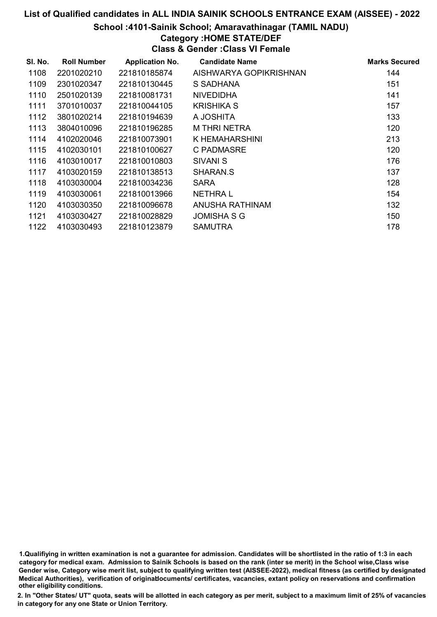#### School :4101-Sainik School; Amaravathinagar (TAMIL NADU)

### Category :HOME STATE/DEF

Class & Gender :Class VI Female

| SI. No. | <b>Roll Number</b> | <b>Application No.</b> | <b>Candidate Name</b>  | <b>Marks Secured</b> |
|---------|--------------------|------------------------|------------------------|----------------------|
| 1108    | 2201020210         | 221810185874           | AISHWARYA GOPIKRISHNAN | 144                  |
| 1109    | 2301020347         | 221810130445           | S SADHANA              | 151                  |
| 1110    | 2501020139         | 221810081731           | <b>NIVEDIDHA</b>       | 141                  |
| 1111    | 3701010037         | 221810044105           | KRISHIKA S             | 157                  |
| 1112    | 3801020214         | 221810194639           | A JOSHITA              | 133                  |
| 1113    | 3804010096         | 221810196285           | <b>M THRI NETRA</b>    | 120                  |
| 1114    | 4102020046         | 221810073901           | K HEMAHARSHINI         | 213                  |
| 1115    | 4102030101         | 221810100627           | C PADMASRE             | 120                  |
| 1116    | 4103010017         | 221810010803           | SIVANI S               | 176                  |
| 1117    | 4103020159         | 221810138513           | SHARAN.S               | 137                  |
| 1118    | 4103030004         | 221810034236           | <b>SARA</b>            | 128                  |
| 1119    | 4103030061         | 221810013966           | <b>NETHRAL</b>         | 154                  |
| 1120    | 4103030350         | 221810096678           | ANUSHA RATHINAM        | 132                  |
| 1121    | 4103030427         | 221810028829           | JOMISHA S G            | 150                  |
| 1122    | 4103030493         | 221810123879           | <b>SAMUTRA</b>         | 178                  |

<sup>1.</sup>Qualifiying in written examination is not a guarantee for admission. Candidates will be shortlisted in the ratio of 1:3 in each category for medical exam. Admission to Sainik Schools is based on the rank (inter se merit) in the School wise,Class wise Gender wise, Category wise merit list, subject to qualifying written test (AISSEE-2022), medical fitness (as certified by designated Medical Authorities), verification of originablocuments/ certificates, vacancies, extant policy on reservations and confirmation other eligibility conditions.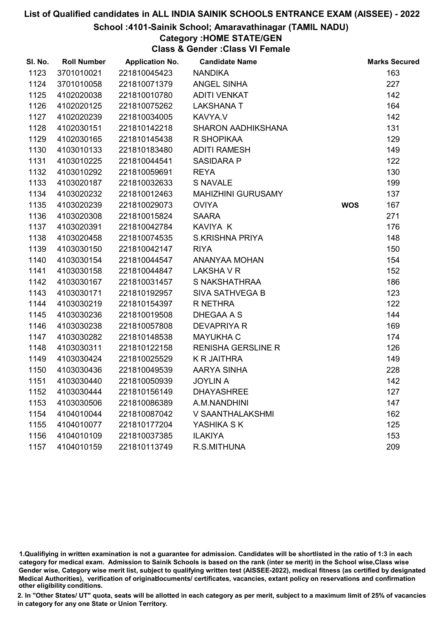#### School :4101-Sainik School; Amaravathinagar (TAMIL NADU)

## Category :HOME STATE/GEN

Class & Gender :Class VI Female

| SI. No. | <b>Roll Number</b> | <b>Application No.</b> | <b>Candidate Name</b>     |            | <b>Marks Secured</b> |
|---------|--------------------|------------------------|---------------------------|------------|----------------------|
| 1123    | 3701010021         | 221810045423           | <b>NANDIKA</b>            |            | 163                  |
| 1124    | 3701010058         | 221810071379           | ANGEL SINHA               |            | 227                  |
| 1125    | 4102020038         | 221810010780           | <b>ADITI VENKAT</b>       |            | 142                  |
| 1126    | 4102020125         | 221810075262           | <b>LAKSHANA T</b>         |            | 164                  |
| 1127    | 4102020239         | 221810034005           | KAVYA.V                   |            | 142                  |
| 1128    | 4102030151         | 221810142218           | <b>SHARON AADHIKSHANA</b> |            | 131                  |
| 1129    | 4102030165         | 221810145438           | R SHOPIKAA                |            | 129                  |
| 1130    | 4103010133         | 221810183480           | <b>ADITI RAMESH</b>       |            | 149                  |
| 1131    | 4103010225         | 221810044541           | <b>SASIDARA P</b>         |            | 122                  |
| 1132    | 4103010292         | 221810059691           | <b>REYA</b>               |            | 130                  |
| 1133    | 4103020187         | 221810032633           | <b>S NAVALE</b>           |            | 199                  |
| 1134    | 4103020232         | 221810012463           | <b>MAHIZHINI GURUSAMY</b> |            | 137                  |
| 1135    | 4103020239         | 221810029073           | <b>OVIYA</b>              | <b>WOS</b> | 167                  |
| 1136    | 4103020308         | 221810015824           | <b>SAARA</b>              |            | 271                  |
| 1137    | 4103020391         | 221810042784           | <b>KAVIYA K</b>           |            | 176                  |
| 1138    | 4103020458         | 221810074535           | <b>S.KRISHNA PRIYA</b>    |            | 148                  |
| 1139    | 4103030150         | 221810042147           | <b>RIYA</b>               |            | 150                  |
| 1140    | 4103030154         | 221810044547           | ANANYAA MOHAN             |            | 154                  |
| 1141    | 4103030158         | 221810044847           | <b>LAKSHA V R</b>         |            | 152                  |
| 1142    | 4103030167         | 221810031457           | S NAKSHATHRAA             |            | 186                  |
| 1143    | 4103030171         | 221810192957           | SIVA SATHVEGA B           |            | 123                  |
| 1144    | 4103030219         | 221810154397           | R NETHRA                  |            | 122                  |
| 1145    | 4103030236         | 221810019508           | DHEGAA A S                |            | 144                  |
| 1146    | 4103030238         | 221810057808           | <b>DEVAPRIYA R</b>        |            | 169                  |
| 1147    | 4103030282         | 221810148538           | <b>MAYUKHA C</b>          |            | 174                  |
| 1148    | 4103030311         | 221810122158           | <b>RENISHA GERSLINE R</b> |            | 126                  |
| 1149    | 4103030424         | 221810025529           | <b>K R JAITHRA</b>        |            | 149                  |
| 1150    | 4103030436         | 221810049539           | AARYA SINHA               |            | 228                  |
| 1151    | 4103030440         | 221810050939           | <b>JOYLIN A</b>           |            | 142                  |
| 1152    | 4103030444         | 221810156149           | <b>DHAYASHREE</b>         |            | 127                  |
| 1153    | 4103030506         | 221810086389           | A.M.NANDHINI              |            | 147                  |
| 1154    | 4104010044         | 221810087042           | V SAANTHALAKSHMI          |            | 162                  |
| 1155    | 4104010077         | 221810177204           | YASHIKA S K               |            | 125                  |
| 1156    | 4104010109         | 221810037385           | <b>ILAKIYA</b>            |            | 153                  |
| 1157    | 4104010159         | 221810113749           | R.S.MITHUNA               |            | 209                  |

1.Qualifiying in written examination is not a guarantee for admission. Candidates will be shortlisted in the ratio of 1:3 in each category for medical exam. Admission to Sainik Schools is based on the rank (inter se merit) in the School wise,Class wise Gender wise, Category wise merit list, subject to qualifying written test (AISSEE-2022), medical fitness (as certified by designated Medical Authorities), verification of originablocuments/ certificates, vacancies, extant policy on reservations and confirmation other eligibility conditions.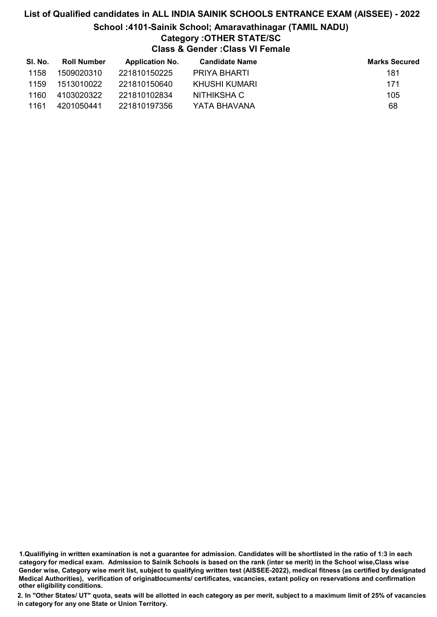### List of Qualified candidates in ALL INDIA SAINIK SCHOOLS ENTRANCE EXAM (AISSEE) - 2022 School :4101-Sainik School; Amaravathinagar (TAMIL NADU) Category :OTHER STATE/SC

Class & Gender :Class VI Female

| SI. No. | <b>Roll Number</b> | <b>Application No.</b> | <b>Candidate Name</b> | <b>Marks Secured</b> |
|---------|--------------------|------------------------|-----------------------|----------------------|
| 1158    | 1509020310         | 221810150225           | PRIYA BHARTI          | 181                  |
| 1159    | 1513010022         | 221810150640           | KHUSHI KUMARI         | 171                  |
| 1160    | 4103020322         | 221810102834           | NITHIKSHA C           | 105                  |
| 1161    | 4201050441         | 221810197356           | YATA BHAVANA          | 68                   |

1.Qualifiying in written examination is not a guarantee for admission. Candidates will be shortlisted in the ratio of 1:3 in each category for medical exam. Admission to Sainik Schools is based on the rank (inter se merit) in the School wise,Class wise Gender wise, Category wise merit list, subject to qualifying written test (AISSEE-2022), medical fitness (as certified by designated Medical Authorities), verification of originablocuments/ certificates, vacancies, extant policy on reservations and confirmation other eligibility conditions.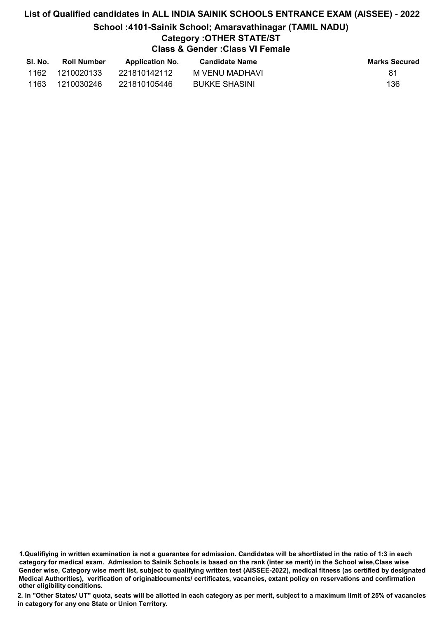### List of Qualified candidates in ALL INDIA SAINIK SCHOOLS ENTRANCE EXAM (AISSEE) - 2022 School :4101-Sainik School; Amaravathinagar (TAMIL NADU) Category :OTHER STATE/ST

#### Class & Gender :Class VI Female

| SI. No. | <b>Roll Number</b> | <b>Application No.</b> | <b>Candidate Name</b> | <b>Marks Secured</b> |
|---------|--------------------|------------------------|-----------------------|----------------------|
| 1162    | 1210020133         | 221810142112           | M VENU MADHAVI        | 81                   |
| 1163    | 1210030246         | 221810105446           | <b>BUKKE SHASINI</b>  | 136                  |

<sup>1.</sup>Qualifiying in written examination is not a guarantee for admission. Candidates will be shortlisted in the ratio of 1:3 in each category for medical exam. Admission to Sainik Schools is based on the rank (inter se merit) in the School wise,Class wise Gender wise, Category wise merit list, subject to qualifying written test (AISSEE-2022), medical fitness (as certified by designated Medical Authorities), verification of originablocuments/ certificates, vacancies, extant policy on reservations and confirmation other eligibility conditions.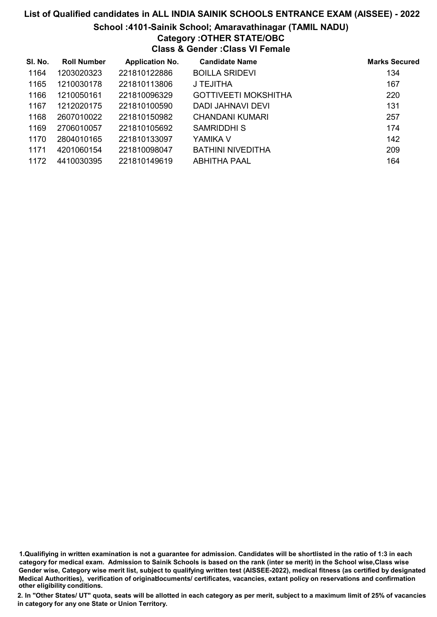#### School :4101-Sainik School; Amaravathinagar (TAMIL NADU)

### Category :OTHER STATE/OBC

Class & Gender :Class VI Female

| SI. No. | <b>Roll Number</b> | <b>Application No.</b> | <b>Candidate Name</b>       | <b>Marks Secured</b> |
|---------|--------------------|------------------------|-----------------------------|----------------------|
| 1164    | 1203020323         | 221810122886           | <b>BOILLA SRIDEVI</b>       | 134                  |
| 1165    | 1210030178         | 221810113806           | J TEJITHA                   | 167                  |
| 1166    | 1210050161         | 221810096329           | <b>GOTTIVEETI MOKSHITHA</b> | 220                  |
| 1167    | 1212020175         | 221810100590           | DADI JAHNAVI DEVI           | 131                  |
| 1168    | 2607010022         | 221810150982           | CHANDANI KUMARI             | 257                  |
| 1169    | 2706010057         | 221810105692           | <b>SAMRIDDHI S</b>          | 174                  |
| 1170    | 2804010165         | 221810133097           | YAMIKA V                    | 142                  |
| 1171    | 4201060154         | 221810098047           | <b>BATHINI NIVEDITHA</b>    | 209                  |
| 1172    | 4410030395         | 221810149619           | <b>ABHITHA PAAL</b>         | 164                  |

1.Qualifiying in written examination is not a guarantee for admission. Candidates will be shortlisted in the ratio of 1:3 in each category for medical exam. Admission to Sainik Schools is based on the rank (inter se merit) in the School wise,Class wise Gender wise, Category wise merit list, subject to qualifying written test (AISSEE-2022), medical fitness (as certified by designated Medical Authorities), verification of originablocuments/ certificates, vacancies, extant policy on reservations and confirmation other eligibility conditions.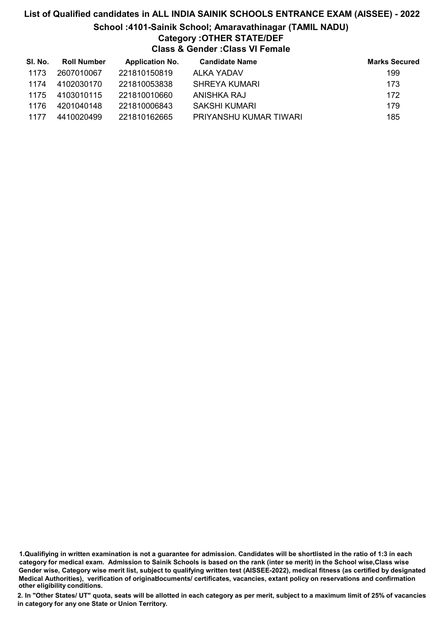### School :4101-Sainik School; Amaravathinagar (TAMIL NADU) Category :OTHER STATE/DEF

Class & Gender :Class VI Female

| SI. No. | <b>Roll Number</b> | <b>Application No.</b> | <b>Candidate Name</b>  | <b>Marks Secured</b> |
|---------|--------------------|------------------------|------------------------|----------------------|
| 1173    | 2607010067         | 221810150819           | ALKA YADAV             | 199                  |
| 1174    | 4102030170         | 221810053838           | SHREYA KUMARI          | 173                  |
| 1175    | 4103010115         | 221810010660           | ANISHKA RAJ            | 172                  |
| 1176    | 4201040148         | 221810006843           | SAKSHI KUMARI          | 179                  |
| 1177    | 4410020499         | 221810162665           | PRIYANSHU KUMAR TIWARI | 185                  |

1.Qualifiying in written examination is not a guarantee for admission. Candidates will be shortlisted in the ratio of 1:3 in each category for medical exam. Admission to Sainik Schools is based on the rank (inter se merit) in the School wise,Class wise Gender wise, Category wise merit list, subject to qualifying written test (AISSEE-2022), medical fitness (as certified by designated Medical Authorities), verification of originablocuments/ certificates, vacancies, extant policy on reservations and confirmation other eligibility conditions.